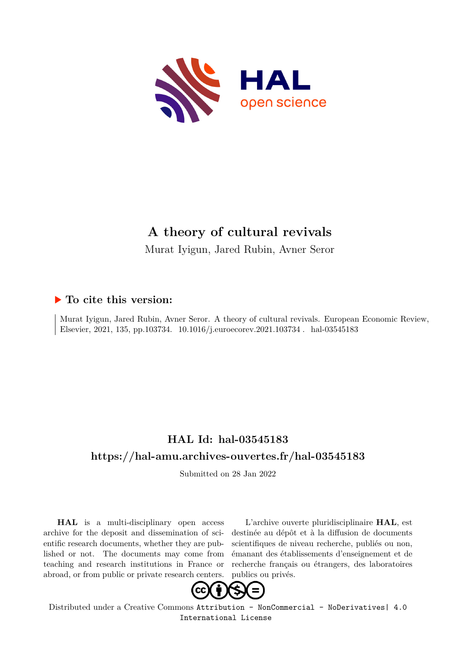

# **A theory of cultural revivals**

Murat Iyigun, Jared Rubin, Avner Seror

## **To cite this version:**

Murat Iyigun, Jared Rubin, Avner Seror. A theory of cultural revivals. European Economic Review, Elsevier, 2021, 135, pp.103734. 10.1016/j.euroecorev.2021.103734 . hal-03545183

# **HAL Id: hal-03545183 <https://hal-amu.archives-ouvertes.fr/hal-03545183>**

Submitted on 28 Jan 2022

**HAL** is a multi-disciplinary open access archive for the deposit and dissemination of scientific research documents, whether they are published or not. The documents may come from teaching and research institutions in France or abroad, or from public or private research centers.

L'archive ouverte pluridisciplinaire **HAL**, est destinée au dépôt et à la diffusion de documents scientifiques de niveau recherche, publiés ou non, émanant des établissements d'enseignement et de recherche français ou étrangers, des laboratoires publics ou privés.



Distributed under a Creative Commons [Attribution - NonCommercial - NoDerivatives| 4.0](http://creativecommons.org/licenses/by-nc-nd/4.0/) [International License](http://creativecommons.org/licenses/by-nc-nd/4.0/)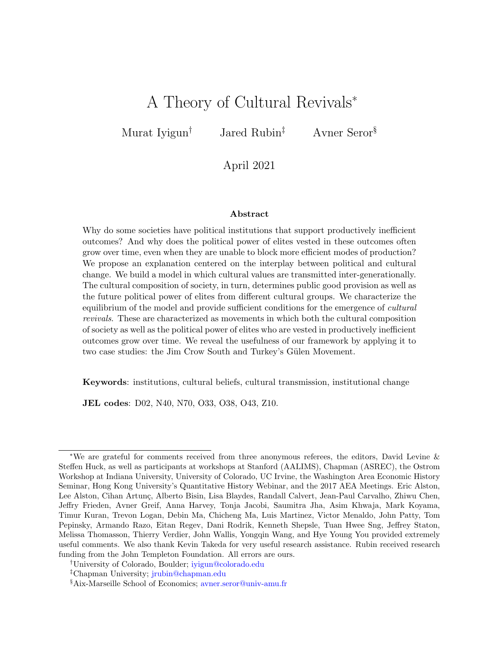# A Theory of Cultural Revivals<sup>∗</sup>

Murat Iyigun<sup>†</sup> Jared Rubin<sup>‡</sup> Avner Seror<sup>§</sup>

April 2021

#### Abstract

Why do some societies have political institutions that support productively inefficient outcomes? And why does the political power of elites vested in these outcomes often grow over time, even when they are unable to block more efficient modes of production? We propose an explanation centered on the interplay between political and cultural change. We build a model in which cultural values are transmitted inter-generationally. The cultural composition of society, in turn, determines public good provision as well as the future political power of elites from different cultural groups. We characterize the equilibrium of the model and provide sufficient conditions for the emergence of cultural revivals. These are characterized as movements in which both the cultural composition of society as well as the political power of elites who are vested in productively inefficient outcomes grow over time. We reveal the usefulness of our framework by applying it to two case studies: the Jim Crow South and Turkey's Gülen Movement.

Keywords: institutions, cultural beliefs, cultural transmission, institutional change

JEL codes: D02, N40, N70, O33, O38, O43, Z10.

<sup>∗</sup>We are grateful for comments received from three anonymous referees, the editors, David Levine & Steffen Huck, as well as participants at workshops at Stanford (AALIMS), Chapman (ASREC), the Ostrom Workshop at Indiana University, University of Colorado, UC Irvine, the Washington Area Economic History Seminar, Hong Kong University's Quantitative History Webinar, and the 2017 AEA Meetings. Eric Alston, Lee Alston, Cihan Artunç, Alberto Bisin, Lisa Blaydes, Randall Calvert, Jean-Paul Carvalho, Zhiwu Chen, Jeffry Frieden, Avner Greif, Anna Harvey, Tonja Jacobi, Saumitra Jha, Asim Khwaja, Mark Koyama, Timur Kuran, Trevon Logan, Debin Ma, Chicheng Ma, Luis Martinez, Victor Menaldo, John Patty, Tom Pepinsky, Armando Razo, Eitan Regev, Dani Rodrik, Kenneth Shepsle, Tuan Hwee Sng, Jeffrey Staton, Melissa Thomasson, Thierry Verdier, John Wallis, Yongqin Wang, and Hye Young You provided extremely useful comments. We also thank Kevin Takeda for very useful research assistance. Rubin received research funding from the John Templeton Foundation. All errors are ours.

<sup>†</sup>University of Colorado, Boulder; [iyigun@colorado.edu](mailto:iyigun@colorado.edu)

<sup>‡</sup>Chapman University; [jrubin@chapman.edu](mailto:jrubin@chapman.edu)

<sup>§</sup>Aix-Marseille School of Economics; [avner.seror@univ-amu.fr](mailto:avner.seror@univ-amu.fr)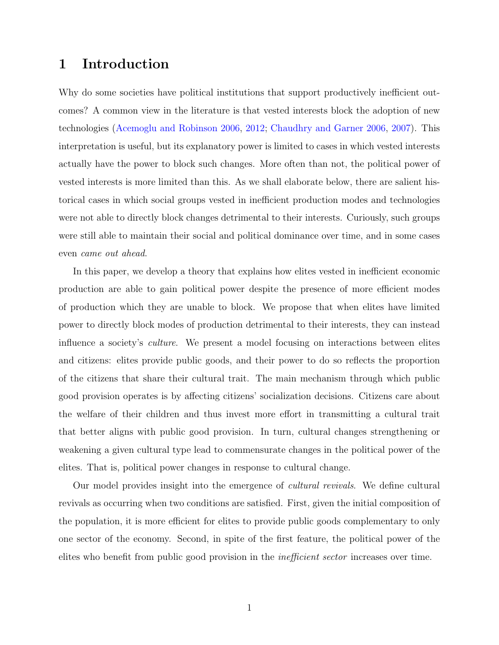## 1 Introduction

Why do some societies have political institutions that support productively inefficient outcomes? A common view in the literature is that vested interests block the adoption of new technologies (Acemoglu and Robinson 2006, 2012; Chaudhry and Garner 2006, 2007). This interpretation is useful, but its explanatory power is limited to cases in which vested interests actually have the power to block such changes. More often than not, the political power of vested interests is more limited than this. As we shall elaborate below, there are salient historical cases in which social groups vested in inefficient production modes and technologies were not able to directly block changes detrimental to their interests. Curiously, such groups were still able to maintain their social and political dominance over time, and in some cases even came out ahead.

In this paper, we develop a theory that explains how elites vested in inefficient economic production are able to gain political power despite the presence of more efficient modes of production which they are unable to block. We propose that when elites have limited power to directly block modes of production detrimental to their interests, they can instead influence a society's culture. We present a model focusing on interactions between elites and citizens: elites provide public goods, and their power to do so reflects the proportion of the citizens that share their cultural trait. The main mechanism through which public good provision operates is by affecting citizens' socialization decisions. Citizens care about the welfare of their children and thus invest more effort in transmitting a cultural trait that better aligns with public good provision. In turn, cultural changes strengthening or weakening a given cultural type lead to commensurate changes in the political power of the elites. That is, political power changes in response to cultural change.

Our model provides insight into the emergence of cultural revivals. We define cultural revivals as occurring when two conditions are satisfied. First, given the initial composition of the population, it is more efficient for elites to provide public goods complementary to only one sector of the economy. Second, in spite of the first feature, the political power of the elites who benefit from public good provision in the inefficient sector increases over time.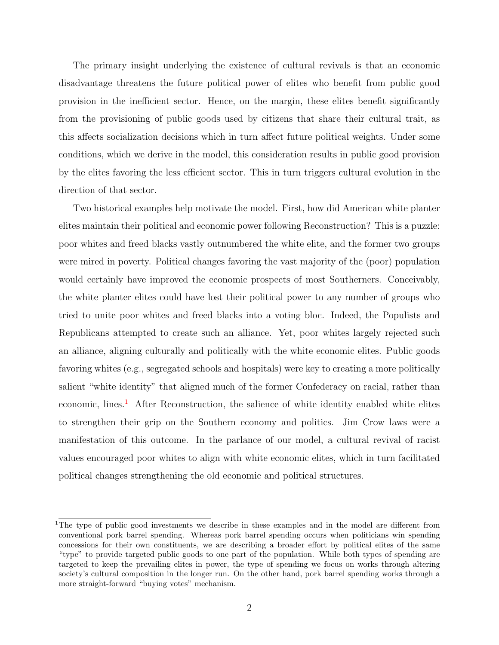The primary insight underlying the existence of cultural revivals is that an economic disadvantage threatens the future political power of elites who benefit from public good provision in the inefficient sector. Hence, on the margin, these elites benefit significantly from the provisioning of public goods used by citizens that share their cultural trait, as this affects socialization decisions which in turn affect future political weights. Under some conditions, which we derive in the model, this consideration results in public good provision by the elites favoring the less efficient sector. This in turn triggers cultural evolution in the direction of that sector.

Two historical examples help motivate the model. First, how did American white planter elites maintain their political and economic power following Reconstruction? This is a puzzle: poor whites and freed blacks vastly outnumbered the white elite, and the former two groups were mired in poverty. Political changes favoring the vast majority of the (poor) population would certainly have improved the economic prospects of most Southerners. Conceivably, the white planter elites could have lost their political power to any number of groups who tried to unite poor whites and freed blacks into a voting bloc. Indeed, the Populists and Republicans attempted to create such an alliance. Yet, poor whites largely rejected such an alliance, aligning culturally and politically with the white economic elites. Public goods favoring whites (e.g., segregated schools and hospitals) were key to creating a more politically salient "white identity" that aligned much of the former Confederacy on racial, rather than economic, lines.<sup>1</sup> After Reconstruction, the salience of white identity enabled white elites to strengthen their grip on the Southern economy and politics. Jim Crow laws were a manifestation of this outcome. In the parlance of our model, a cultural revival of racist values encouraged poor whites to align with white economic elites, which in turn facilitated political changes strengthening the old economic and political structures.

<sup>&</sup>lt;sup>1</sup>The type of public good investments we describe in these examples and in the model are different from conventional pork barrel spending. Whereas pork barrel spending occurs when politicians win spending concessions for their own constituents, we are describing a broader effort by political elites of the same "type" to provide targeted public goods to one part of the population. While both types of spending are targeted to keep the prevailing elites in power, the type of spending we focus on works through altering society's cultural composition in the longer run. On the other hand, pork barrel spending works through a more straight-forward "buying votes" mechanism.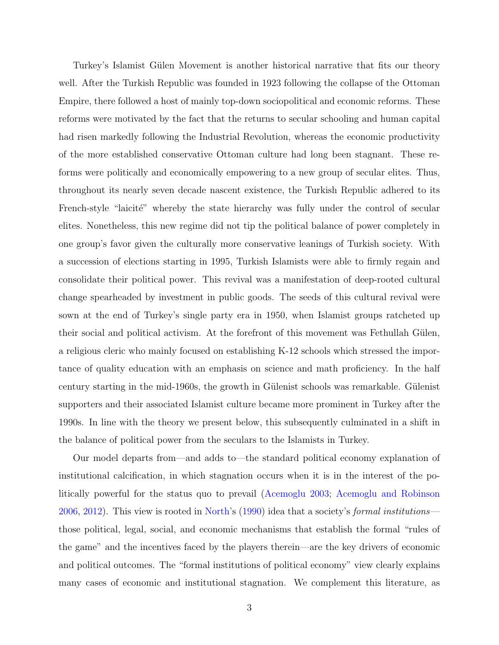Turkey's Islamist Gülen Movement is another historical narrative that fits our theory well. After the Turkish Republic was founded in 1923 following the collapse of the Ottoman Empire, there followed a host of mainly top-down sociopolitical and economic reforms. These reforms were motivated by the fact that the returns to secular schooling and human capital had risen markedly following the Industrial Revolution, whereas the economic productivity of the more established conservative Ottoman culture had long been stagnant. These reforms were politically and economically empowering to a new group of secular elites. Thus, throughout its nearly seven decade nascent existence, the Turkish Republic adhered to its French-style "laicité" whereby the state hierarchy was fully under the control of secular elites. Nonetheless, this new regime did not tip the political balance of power completely in one group's favor given the culturally more conservative leanings of Turkish society. With a succession of elections starting in 1995, Turkish Islamists were able to firmly regain and consolidate their political power. This revival was a manifestation of deep-rooted cultural change spearheaded by investment in public goods. The seeds of this cultural revival were sown at the end of Turkey's single party era in 1950, when Islamist groups ratcheted up their social and political activism. At the forefront of this movement was Fethullah Gülen, a religious cleric who mainly focused on establishing K-12 schools which stressed the importance of quality education with an emphasis on science and math proficiency. In the half century starting in the mid-1960s, the growth in Gülenist schools was remarkable. Gülenist supporters and their associated Islamist culture became more prominent in Turkey after the 1990s. In line with the theory we present below, this subsequently culminated in a shift in the balance of political power from the seculars to the Islamists in Turkey.

Our model departs from—and adds to—the standard political economy explanation of institutional calcification, in which stagnation occurs when it is in the interest of the politically powerful for the status quo to prevail (Acemoglu 2003; Acemoglu and Robinson 2006, 2012). This view is rooted in North's (1990) idea that a society's formal institutions those political, legal, social, and economic mechanisms that establish the formal "rules of the game" and the incentives faced by the players therein—are the key drivers of economic and political outcomes. The "formal institutions of political economy" view clearly explains many cases of economic and institutional stagnation. We complement this literature, as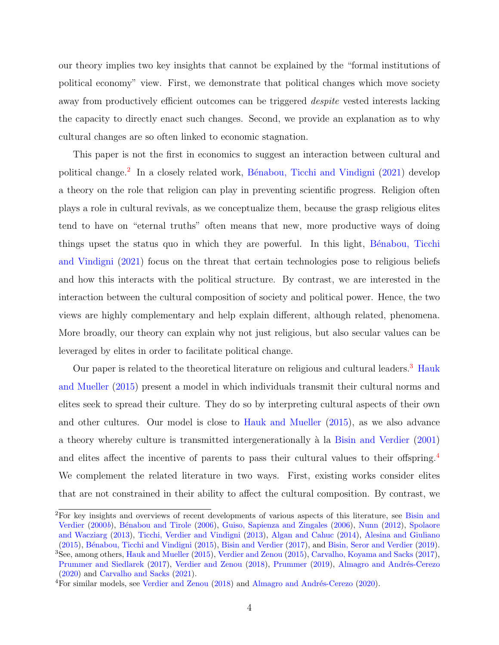our theory implies two key insights that cannot be explained by the "formal institutions of political economy" view. First, we demonstrate that political changes which move society away from productively efficient outcomes can be triggered despite vested interests lacking the capacity to directly enact such changes. Second, we provide an explanation as to why cultural changes are so often linked to economic stagnation.

This paper is not the first in economics to suggest an interaction between cultural and political change.<sup>2</sup> In a closely related work, Bénabou, Ticchi and Vindigni (2021) develop a theory on the role that religion can play in preventing scientific progress. Religion often plays a role in cultural revivals, as we conceptualize them, because the grasp religious elites tend to have on "eternal truths" often means that new, more productive ways of doing things upset the status quo in which they are powerful. In this light, Bénabou, Ticchi and Vindigni (2021) focus on the threat that certain technologies pose to religious beliefs and how this interacts with the political structure. By contrast, we are interested in the interaction between the cultural composition of society and political power. Hence, the two views are highly complementary and help explain different, although related, phenomena. More broadly, our theory can explain why not just religious, but also secular values can be leveraged by elites in order to facilitate political change.

Our paper is related to the theoretical literature on religious and cultural leaders.3 Hauk and Mueller (2015) present a model in which individuals transmit their cultural norms and elites seek to spread their culture. They do so by interpreting cultural aspects of their own and other cultures. Our model is close to Hauk and Mueller (2015), as we also advance a theory whereby culture is transmitted intergenerationally à la Bisin and Verdier (2001) and elites affect the incentive of parents to pass their cultural values to their offspring.4 We complement the related literature in two ways. First, existing works consider elites that are not constrained in their ability to affect the cultural composition. By contrast, we

<sup>&</sup>lt;sup>2</sup>For key insights and overviews of recent developments of various aspects of this literature, see Bisin and Verdier (2000b), Bénabou and Tirole (2006), Guiso, Sapienza and Zingales (2006), Nunn (2012), Spolaore and Wacziarg (2013), Ticchi, Verdier and Vindigni (2013), Algan and Cahuc (2014), Alesina and Giuliano (2015), B´enabou, Ticchi and Vindigni (2015), Bisin and Verdier (2017), and Bisin, Seror and Verdier (2019). <sup>3</sup>See, among others, Hauk and Mueller (2015), Verdier and Zenou (2015), Carvalho, Koyama and Sacks (2017),

Prummer and Siedlarek (2017), Verdier and Zenou (2018), Prummer (2019), Almagro and Andrés-Cerezo (2020) and Carvalho and Sacks (2021).

 $4$ For similar models, see Verdier and Zenou (2018) and Almagro and Andrés-Cerezo (2020).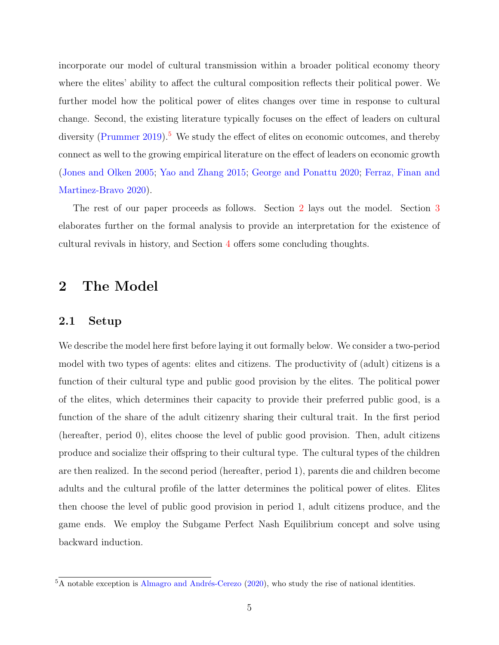incorporate our model of cultural transmission within a broader political economy theory where the elites' ability to affect the cultural composition reflects their political power. We further model how the political power of elites changes over time in response to cultural change. Second, the existing literature typically focuses on the effect of leaders on cultural diversity (Prummer 2019).<sup>5</sup> We study the effect of elites on economic outcomes, and thereby connect as well to the growing empirical literature on the effect of leaders on economic growth (Jones and Olken 2005; Yao and Zhang 2015; George and Ponattu 2020; Ferraz, Finan and Martinez-Bravo 2020).

The rest of our paper proceeds as follows. Section 2 lays out the model. Section 3 elaborates further on the formal analysis to provide an interpretation for the existence of cultural revivals in history, and Section 4 offers some concluding thoughts.

## 2 The Model

#### 2.1 Setup

We describe the model here first before laying it out formally below. We consider a two-period model with two types of agents: elites and citizens. The productivity of (adult) citizens is a function of their cultural type and public good provision by the elites. The political power of the elites, which determines their capacity to provide their preferred public good, is a function of the share of the adult citizenry sharing their cultural trait. In the first period (hereafter, period 0), elites choose the level of public good provision. Then, adult citizens produce and socialize their offspring to their cultural type. The cultural types of the children are then realized. In the second period (hereafter, period 1), parents die and children become adults and the cultural profile of the latter determines the political power of elites. Elites then choose the level of public good provision in period 1, adult citizens produce, and the game ends. We employ the Subgame Perfect Nash Equilibrium concept and solve using backward induction.

 $5\overline{\text{A}}$  notable exception is Almagro and Andrés-Cerezo (2020), who study the rise of national identities.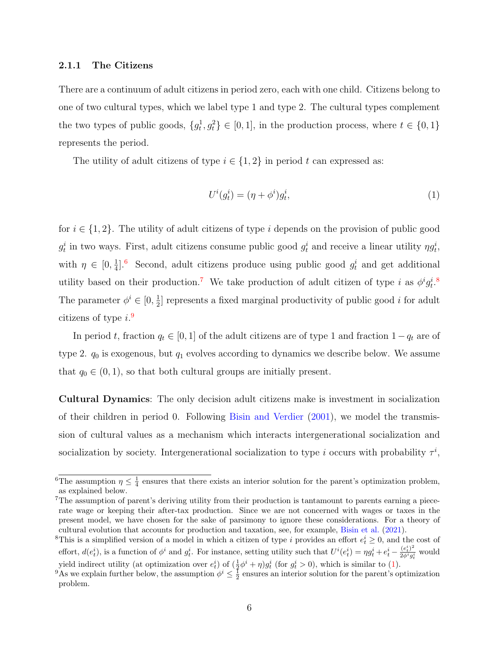#### 2.1.1 The Citizens

There are a continuum of adult citizens in period zero, each with one child. Citizens belong to one of two cultural types, which we label type 1 and type 2. The cultural types complement the two types of public goods,  $\{g_t^1, g_t^2\} \in [0, 1]$ , in the production process, where  $t \in \{0, 1\}$ represents the period.

The utility of adult citizens of type  $i \in \{1,2\}$  in period t can expressed as:

$$
U^i(g_t^i) = (\eta + \phi^i)g_t^i,\tag{1}
$$

for  $i \in \{1,2\}$ . The utility of adult citizens of type i depends on the provision of public good  $g_t^i$  in two ways. First, adult citizens consume public good  $g_t^i$  and receive a linear utility  $\eta g_t^i$ , with  $\eta \in [0, \frac{1}{4}]$  $\frac{1}{4}$ .<sup>6</sup> Second, adult citizens produce using public good  $g_t^i$  and get additional utility based on their production.<sup>7</sup> We take production of adult citizen of type i as  $\phi^i g_t^i$ .<sup>8</sup> The parameter  $\phi^i \in [0, \frac{1}{2}]$  $\frac{1}{2}$  represents a fixed marginal productivity of public good *i* for adult citizens of type  $i$ .<sup>9</sup>

In period t, fraction  $q_t \in [0, 1]$  of the adult citizens are of type 1 and fraction  $1 - q_t$  are of type 2.  $q_0$  is exogenous, but  $q_1$  evolves according to dynamics we describe below. We assume that  $q_0 \in (0, 1)$ , so that both cultural groups are initially present.

Cultural Dynamics: The only decision adult citizens make is investment in socialization of their children in period 0. Following Bisin and Verdier (2001), we model the transmission of cultural values as a mechanism which interacts intergenerational socialization and socialization by society. Intergenerational socialization to type i occurs with probability  $\tau^i$ ,

<sup>&</sup>lt;sup>6</sup>The assumption  $\eta \leq \frac{1}{4}$  ensures that there exists an interior solution for the parent's optimization problem, as explained below.

<sup>7</sup>The assumption of parent's deriving utility from their production is tantamount to parents earning a piecerate wage or keeping their after-tax production. Since we are not concerned with wages or taxes in the present model, we have chosen for the sake of parsimony to ignore these considerations. For a theory of cultural evolution that accounts for production and taxation, see, for example, Bisin et al. (2021).

<sup>&</sup>lt;sup>8</sup>This is a simplified version of a model in which a citizen of type i provides an effort  $e_t^i \geq 0$ , and the cost of effort,  $d(e_t^i)$ , is a function of  $\phi^i$  and  $g_t^i$ . For instance, setting utility such that  $U^i(e_t^i) = \eta g_t^i + e_t^i - \frac{(e_t^i)^2}{2\phi^i g_t^i}$  $rac{(e_t)}{2\phi^i g_t^i}$  would yield indirect utility (at optimization over  $e_t^i$ ) of  $(\frac{1}{2}\phi^i + \eta)g_t^i$  (for  $g_t^i > 0$ ), which is similar to (1).

<sup>&</sup>lt;sup>9</sup>As we explain further below, the assumption  $\phi^i \leq \frac{1}{2}$  ensures an interior solution for the parent's optimization problem.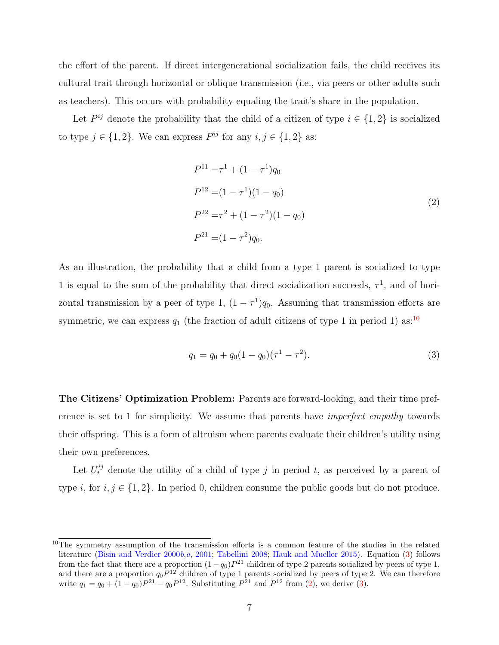the effort of the parent. If direct intergenerational socialization fails, the child receives its cultural trait through horizontal or oblique transmission (i.e., via peers or other adults such as teachers). This occurs with probability equaling the trait's share in the population.

Let  $P^{ij}$  denote the probability that the child of a citizen of type  $i \in \{1,2\}$  is socialized to type  $j \in \{1, 2\}$ . We can express  $P^{ij}$  for any  $i, j \in \{1, 2\}$  as:

$$
P^{11} = \tau^1 + (1 - \tau^1)q_0
$$
  
\n
$$
P^{12} = (1 - \tau^1)(1 - q_0)
$$
  
\n
$$
P^{22} = \tau^2 + (1 - \tau^2)(1 - q_0)
$$
  
\n
$$
P^{21} = (1 - \tau^2)q_0.
$$
\n(2)

As an illustration, the probability that a child from a type 1 parent is socialized to type 1 is equal to the sum of the probability that direct socialization succeeds,  $\tau^1$ , and of horizontal transmission by a peer of type 1,  $(1 - \tau^1)q_0$ . Assuming that transmission efforts are symmetric, we can express  $q_1$  (the fraction of adult citizens of type 1 in period 1) as:<sup>10</sup>

$$
q_1 = q_0 + q_0(1 - q_0)(\tau^1 - \tau^2). \tag{3}
$$

The Citizens' Optimization Problem: Parents are forward-looking, and their time preference is set to 1 for simplicity. We assume that parents have imperfect empathy towards their offspring. This is a form of altruism where parents evaluate their children's utility using their own preferences.

Let  $U_t^{ij}$  denote the utility of a child of type j in period t, as perceived by a parent of type i, for  $i, j \in \{1, 2\}$ . In period 0, children consume the public goods but do not produce.

<sup>&</sup>lt;sup>10</sup>The symmetry assumption of the transmission efforts is a common feature of the studies in the related literature (Bisin and Verdier 2000b,a, 2001; Tabellini 2008; Hauk and Mueller 2015). Equation (3) follows from the fact that there are a proportion  $(1 - q_0)P^{21}$  children of type 2 parents socialized by peers of type 1, and there are a proportion  $q_0P^{12}$  children of type 1 parents socialized by peers of type 2. We can therefore write  $q_1 = q_0 + (1 - q_0)P^{21} - q_0P^{12}$ . Substituting  $P^{21}$  and  $P^{12}$  from (2), we derive (3).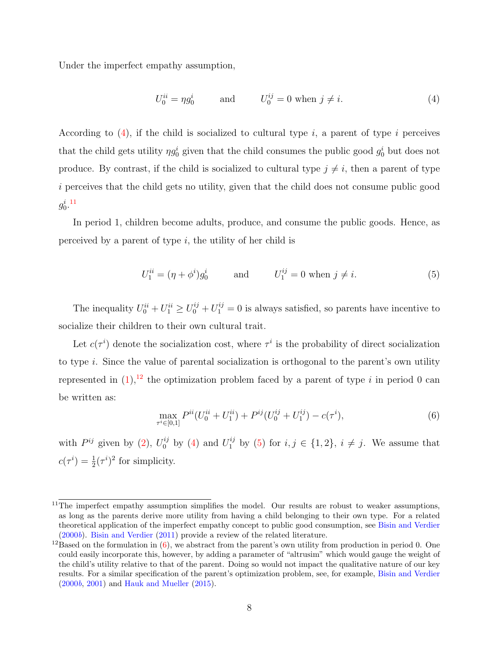Under the imperfect empathy assumption,

$$
U_0^{ii} = \eta g_0^i \qquad \text{and} \qquad U_0^{ij} = 0 \text{ when } j \neq i. \tag{4}
$$

According to  $(4)$ , if the child is socialized to cultural type i, a parent of type i perceives that the child gets utility  $\eta g_0^i$  given that the child consumes the public good  $g_0^i$  but does not produce. By contrast, if the child is socialized to cultural type  $j \neq i$ , then a parent of type i perceives that the child gets no utility, given that the child does not consume public good  $g^i_0.11$ 

In period 1, children become adults, produce, and consume the public goods. Hence, as perceived by a parent of type  $i$ , the utility of her child is

$$
U_1^{ii} = (\eta + \phi^i)g_0^i \qquad \text{and} \qquad U_1^{ij} = 0 \text{ when } j \neq i. \tag{5}
$$

The inequality  $U_0^{ii} + U_1^{ii} \ge U_0^{ij} + U_1^{ij} = 0$  is always satisfied, so parents have incentive to socialize their children to their own cultural trait.

Let  $c(\tau^i)$  denote the socialization cost, where  $\tau^i$  is the probability of direct socialization to type i. Since the value of parental socialization is orthogonal to the parent's own utility represented in  $(1)$ ,<sup>12</sup> the optimization problem faced by a parent of type i in period 0 can be written as:

$$
\max_{\tau^i \in [0,1]} P^{ii} (U_0^{ii} + U_1^{ii}) + P^{ij} (U_0^{ij} + U_1^{ij}) - c(\tau^i), \tag{6}
$$

with  $P^{ij}$  given by (2),  $U_0^{ij}$  by (4) and  $U_1^{ij}$  by (5) for  $i, j \in \{1, 2\}$ ,  $i \neq j$ . We assume that  $c(\tau^i) = \frac{1}{2}(\tau^i)^2$  for simplicity.

 $11$ <sup>The</sup> imperfect empathy assumption simplifies the model. Our results are robust to weaker assumptions, as long as the parents derive more utility from having a child belonging to their own type. For a related theoretical application of the imperfect empathy concept to public good consumption, see Bisin and Verdier (2000b). Bisin and Verdier (2011) provide a review of the related literature.

<sup>&</sup>lt;sup>12</sup>Based on the formulation in  $(6)$ , we abstract from the parent's own utility from production in period 0. One could easily incorporate this, however, by adding a parameter of "altrusim" which would gauge the weight of the child's utility relative to that of the parent. Doing so would not impact the qualitative nature of our key results. For a similar specification of the parent's optimization problem, see, for example, Bisin and Verdier (2000b, 2001) and Hauk and Mueller (2015).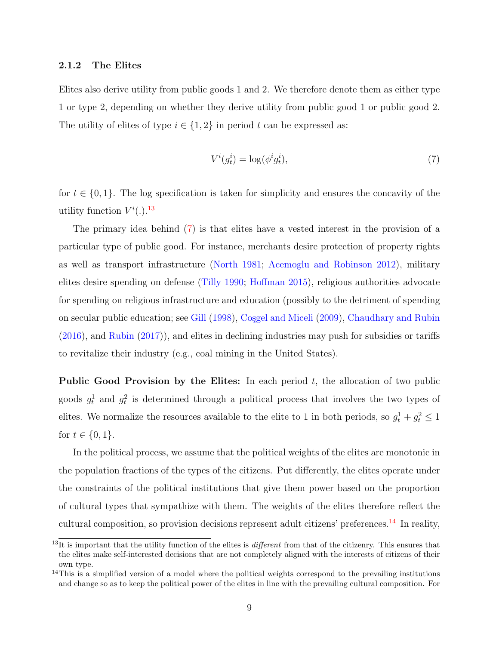#### 2.1.2 The Elites

Elites also derive utility from public goods 1 and 2. We therefore denote them as either type 1 or type 2, depending on whether they derive utility from public good 1 or public good 2. The utility of elites of type  $i \in \{1,2\}$  in period t can be expressed as:

$$
V^i(g_t^i) = \log(\phi^i g_t^i),\tag{7}
$$

for  $t \in \{0, 1\}$ . The log specification is taken for simplicity and ensures the concavity of the utility function  $V^i(.)$ .<sup>13</sup>

The primary idea behind (7) is that elites have a vested interest in the provision of a particular type of public good. For instance, merchants desire protection of property rights as well as transport infrastructure (North 1981; Acemoglu and Robinson 2012), military elites desire spending on defense (Tilly 1990; Hoffman 2015), religious authorities advocate for spending on religious infrastructure and education (possibly to the detriment of spending on secular public education; see Gill (1998), Cosgel and Miceli (2009), Chaudhary and Rubin (2016), and Rubin (2017)), and elites in declining industries may push for subsidies or tariffs to revitalize their industry (e.g., coal mining in the United States).

**Public Good Provision by the Elites:** In each period  $t$ , the allocation of two public goods  $g_t^1$  and  $g_t^2$  is determined through a political process that involves the two types of elites. We normalize the resources available to the elite to 1 in both periods, so  $g_t^1 + g_t^2 \le 1$ for  $t \in \{0, 1\}$ .

In the political process, we assume that the political weights of the elites are monotonic in the population fractions of the types of the citizens. Put differently, the elites operate under the constraints of the political institutions that give them power based on the proportion of cultural types that sympathize with them. The weights of the elites therefore reflect the cultural composition, so provision decisions represent adult citizens' preferences.<sup>14</sup> In reality,

 $13$ It is important that the utility function of the elites is *different* from that of the citizenry. This ensures that the elites make self-interested decisions that are not completely aligned with the interests of citizens of their own type.

 $14$ This is a simplified version of a model where the political weights correspond to the prevailing institutions and change so as to keep the political power of the elites in line with the prevailing cultural composition. For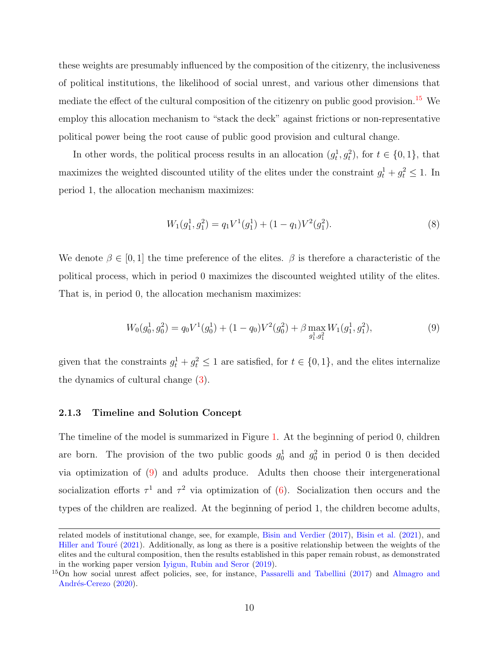these weights are presumably influenced by the composition of the citizenry, the inclusiveness of political institutions, the likelihood of social unrest, and various other dimensions that mediate the effect of the cultural composition of the citizenry on public good provision.<sup>15</sup> We employ this allocation mechanism to "stack the deck" against frictions or non-representative political power being the root cause of public good provision and cultural change.

In other words, the political process results in an allocation  $(g_t^1, g_t^2)$ , for  $t \in \{0, 1\}$ , that maximizes the weighted discounted utility of the elites under the constraint  $g_t^1 + g_t^2 \leq 1$ . In period 1, the allocation mechanism maximizes:

$$
W_1(g_1^1, g_1^2) = q_1 V^1(g_1^1) + (1 - q_1) V^2(g_1^2).
$$
\n(8)

We denote  $\beta \in [0,1]$  the time preference of the elites.  $\beta$  is therefore a characteristic of the political process, which in period 0 maximizes the discounted weighted utility of the elites. That is, in period 0, the allocation mechanism maximizes:

$$
W_0(g_0^1, g_0^2) = q_0 V^1(g_0^1) + (1 - q_0) V^2(g_0^2) + \beta \max_{g_1^1, g_1^2} W_1(g_1^1, g_1^2),
$$
\n(9)

given that the constraints  $g_t^1 + g_t^2 \le 1$  are satisfied, for  $t \in \{0, 1\}$ , and the elites internalize the dynamics of cultural change (3).

#### 2.1.3 Timeline and Solution Concept

The timeline of the model is summarized in Figure 1. At the beginning of period 0, children are born. The provision of the two public goods  $g_0^1$  and  $g_0^2$  in period 0 is then decided via optimization of (9) and adults produce. Adults then choose their intergenerational socialization efforts  $\tau^1$  and  $\tau^2$  via optimization of (6). Socialization then occurs and the types of the children are realized. At the beginning of period 1, the children become adults,

related models of institutional change, see, for example, Bisin and Verdier (2017), Bisin et al. (2021), and Hiller and Touré (2021). Additionally, as long as there is a positive relationship between the weights of the elites and the cultural composition, then the results established in this paper remain robust, as demonstrated in the working paper version Iyigun, Rubin and Seror (2019).

<sup>&</sup>lt;sup>15</sup>On how social unrest affect policies, see, for instance, Passarelli and Tabellini (2017) and Almagro and Andrés-Cerezo (2020).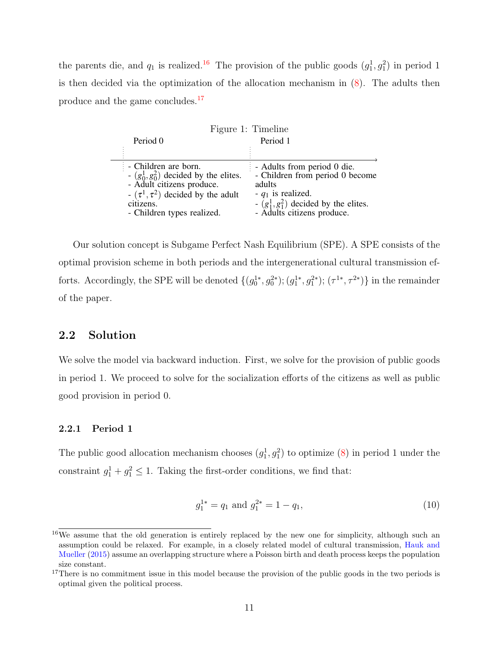the parents die, and  $q_1$  is realized.<sup>16</sup> The provision of the public goods  $(q_1^1, q_1^2)$  in period 1 is then decided via the optimization of the allocation mechanism in (8). The adults then produce and the game concludes.17

| Figure 1: Timeline |                                                                                                                                                                                                             |                                                                                                                                                                                       |
|--------------------|-------------------------------------------------------------------------------------------------------------------------------------------------------------------------------------------------------------|---------------------------------------------------------------------------------------------------------------------------------------------------------------------------------------|
| Period 0           |                                                                                                                                                                                                             | Period 1                                                                                                                                                                              |
|                    |                                                                                                                                                                                                             |                                                                                                                                                                                       |
| citizens.          | - Children are born.<br>- $(g_0^1, g_0^2)$ decided by the elites.<br>- Adult citizens produce.<br>$\sigma$ ( $\tau$ <sup>1</sup> , $\tau$ <sup>2</sup> ) decided by the adult<br>- Children types realized. | - Adults from period 0 die.<br>- Children from period 0 become<br>adults<br>- $q_1$ is realized.<br>$-\left(g_1^1, g_1^2\right)$ decided by the elites.<br>- Adults citizens produce. |

Our solution concept is Subgame Perfect Nash Equilibrium (SPE). A SPE consists of the optimal provision scheme in both periods and the intergenerational cultural transmission efforts. Accordingly, the SPE will be denoted  $\{(g_0^{1*}, g_0^{2*}); (g_1^{1*}, g_1^{2*}); (\tau^{1*}, \tau^{2*})\}$  in the remainder of the paper.

### 2.2 Solution

We solve the model via backward induction. First, we solve for the provision of public goods in period 1. We proceed to solve for the socialization efforts of the citizens as well as public good provision in period 0.

#### 2.2.1 Period 1

The public good allocation mechanism chooses  $(g_1^1, g_1^2)$  to optimize (8) in period 1 under the constraint  $g_1^1 + g_1^2 \leq 1$ . Taking the first-order conditions, we find that:

$$
g_1^{1*} = q_1 \text{ and } g_1^{2*} = 1 - q_1,\tag{10}
$$

 $16\text{We assume that the old generation is entirely replaced by the new one for simplicity, although such an$ assumption could be relaxed. For example, in a closely related model of cultural transmission, Hauk and Mueller (2015) assume an overlapping structure where a Poisson birth and death process keeps the population size constant.

<sup>&</sup>lt;sup>17</sup>There is no commitment issue in this model because the provision of the public goods in the two periods is optimal given the political process.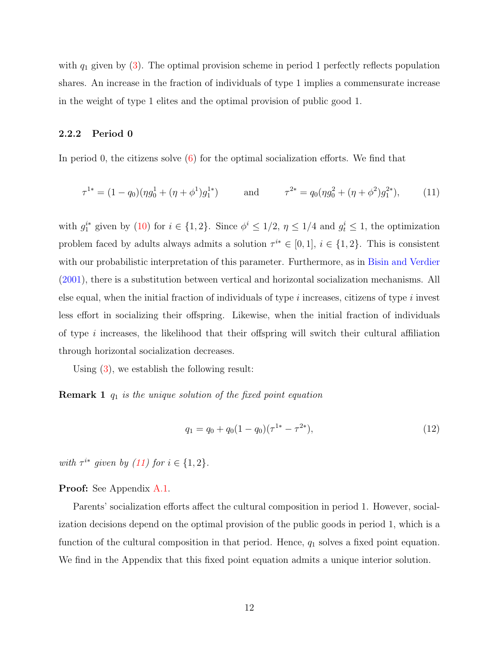with  $q_1$  given by (3). The optimal provision scheme in period 1 perfectly reflects population shares. An increase in the fraction of individuals of type 1 implies a commensurate increase in the weight of type 1 elites and the optimal provision of public good 1.

#### 2.2.2 Period 0

In period 0, the citizens solve  $(6)$  for the optimal socialization efforts. We find that

$$
\tau^{1*} = (1 - q_0)(\eta g_0^1 + (\eta + \phi^1)g_1^{1*}) \quad \text{and} \quad \tau^{2*} = q_0(\eta g_0^2 + (\eta + \phi^2)g_1^{2*}), \quad (11)
$$

with  $g_1^{i*}$  given by (10) for  $i \in \{1,2\}$ . Since  $\phi^i \leq 1/2$ ,  $\eta \leq 1/4$  and  $g_t^i \leq 1$ , the optimization problem faced by adults always admits a solution  $\tau^{i*} \in [0,1]$ ,  $i \in \{1,2\}$ . This is consistent with our probabilistic interpretation of this parameter. Furthermore, as in Bisin and Verdier (2001), there is a substitution between vertical and horizontal socialization mechanisms. All else equal, when the initial fraction of individuals of type  $i$  increases, citizens of type  $i$  invest less effort in socializing their offspring. Likewise, when the initial fraction of individuals of type  $i$  increases, the likelihood that their offspring will switch their cultural affiliation through horizontal socialization decreases.

Using (3), we establish the following result:

**Remark 1**  $q_1$  is the unique solution of the fixed point equation

$$
q_1 = q_0 + q_0(1 - q_0)(\tau^{1*} - \tau^{2*}),
$$
\n(12)

with  $\tau^{i*}$  given by (11) for  $i \in \{1,2\}$ .

Proof: See Appendix A.1.

Parents' socialization efforts affect the cultural composition in period 1. However, socialization decisions depend on the optimal provision of the public goods in period 1, which is a function of the cultural composition in that period. Hence,  $q_1$  solves a fixed point equation. We find in the Appendix that this fixed point equation admits a unique interior solution.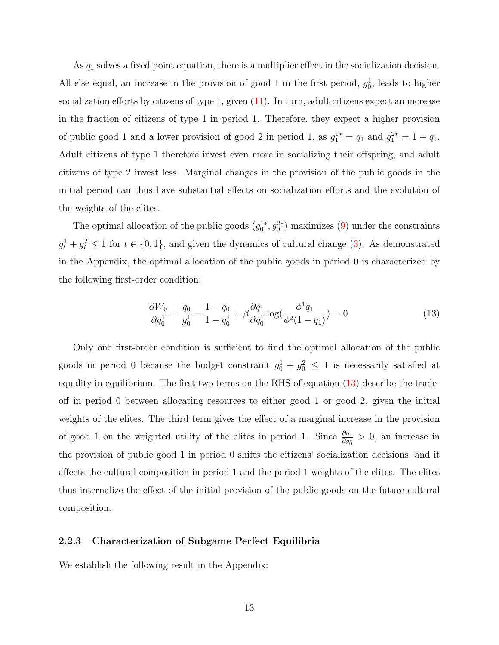As  $q_1$  solves a fixed point equation, there is a multiplier effect in the socialization decision. All else equal, an increase in the provision of good 1 in the first period,  $g_0^1$ , leads to higher socialization efforts by citizens of type 1, given  $(11)$ . In turn, adult citizens expect an increase in the fraction of citizens of type 1 in period 1. Therefore, they expect a higher provision of public good 1 and a lower provision of good 2 in period 1, as  $g_1^{1*} = q_1$  and  $g_1^{2*} = 1 - q_1$ . Adult citizens of type 1 therefore invest even more in socializing their offspring, and adult citizens of type 2 invest less. Marginal changes in the provision of the public goods in the initial period can thus have substantial effects on socialization efforts and the evolution of the weights of the elites.

The optimal allocation of the public goods  $(g_0^{1*}, g_0^{2*})$  maximizes (9) under the constraints  $g_t^1 + g_t^2 \le 1$  for  $t \in \{0, 1\}$ , and given the dynamics of cultural change (3). As demonstrated in the Appendix, the optimal allocation of the public goods in period 0 is characterized by the following first-order condition:

$$
\frac{\partial W_0}{\partial g_0^1} = \frac{q_0}{g_0^1} - \frac{1 - q_0}{1 - g_0^1} + \beta \frac{\partial q_1}{\partial g_0^1} \log(\frac{\phi^1 q_1}{\phi^2 (1 - q_1)}) = 0. \tag{13}
$$

Only one first-order condition is sufficient to find the optimal allocation of the public goods in period 0 because the budget constraint  $g_0^1 + g_0^2 \leq 1$  is necessarily satisfied at equality in equilibrium. The first two terms on the RHS of equation (13) describe the tradeoff in period 0 between allocating resources to either good 1 or good 2, given the initial weights of the elites. The third term gives the effect of a marginal increase in the provision of good 1 on the weighted utility of the elites in period 1. Since  $\frac{\partial q_1}{\partial g_0^1} > 0$ , an increase in the provision of public good 1 in period 0 shifts the citizens' socialization decisions, and it affects the cultural composition in period 1 and the period 1 weights of the elites. The elites thus internalize the effect of the initial provision of the public goods on the future cultural composition.

#### 2.2.3 Characterization of Subgame Perfect Equilibria

We establish the following result in the Appendix: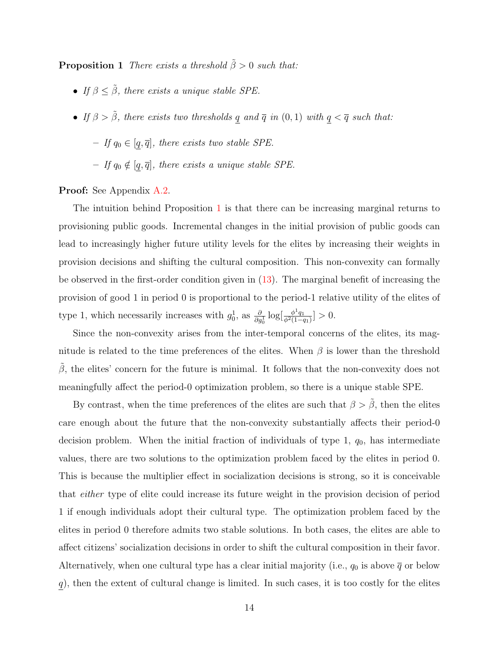**Proposition 1** There exists a threshold  $\tilde{\beta} > 0$  such that:

- If  $\beta \leq \tilde{\beta}$ , there exists a unique stable SPE.
- If  $\beta > \tilde{\beta}$ , there exists two thresholds  $\underline{q}$  and  $\overline{q}$  in  $(0,1)$  with  $\underline{q} < \overline{q}$  such that:
	- If  $q_0 \in [\underline{q}, \overline{q}]$ , there exists two stable SPE.
	- If  $q_0 \notin [\underline{q}, \overline{q}]$ , there exists a unique stable SPE.

Proof: See Appendix A.2.

The intuition behind Proposition 1 is that there can be increasing marginal returns to provisioning public goods. Incremental changes in the initial provision of public goods can lead to increasingly higher future utility levels for the elites by increasing their weights in provision decisions and shifting the cultural composition. This non-convexity can formally be observed in the first-order condition given in (13). The marginal benefit of increasing the provision of good 1 in period 0 is proportional to the period-1 relative utility of the elites of type 1, which necessarily increases with  $g_0^1$ , as  $\frac{\partial}{\partial g_0^1} \log[\frac{\phi^1 q_1}{\phi^2(1-\phi^2)}]$  $\frac{\phi^* q_1}{\phi^2(1-q_1)}] > 0.$ 

Since the non-convexity arises from the inter-temporal concerns of the elites, its magnitude is related to the time preferences of the elites. When  $\beta$  is lower than the threshold  $\tilde{\beta}$ , the elites' concern for the future is minimal. It follows that the non-convexity does not meaningfully affect the period-0 optimization problem, so there is a unique stable SPE.

By contrast, when the time preferences of the elites are such that  $\beta > \tilde{\beta}$ , then the elites care enough about the future that the non-convexity substantially affects their period-0 decision problem. When the initial fraction of individuals of type 1,  $q_0$ , has intermediate values, there are two solutions to the optimization problem faced by the elites in period 0. This is because the multiplier effect in socialization decisions is strong, so it is conceivable that either type of elite could increase its future weight in the provision decision of period 1 if enough individuals adopt their cultural type. The optimization problem faced by the elites in period 0 therefore admits two stable solutions. In both cases, the elites are able to affect citizens' socialization decisions in order to shift the cultural composition in their favor. Alternatively, when one cultural type has a clear initial majority (i.e.,  $q_0$  is above  $\bar{q}$  or below  $q$ ), then the extent of cultural change is limited. In such cases, it is too costly for the elites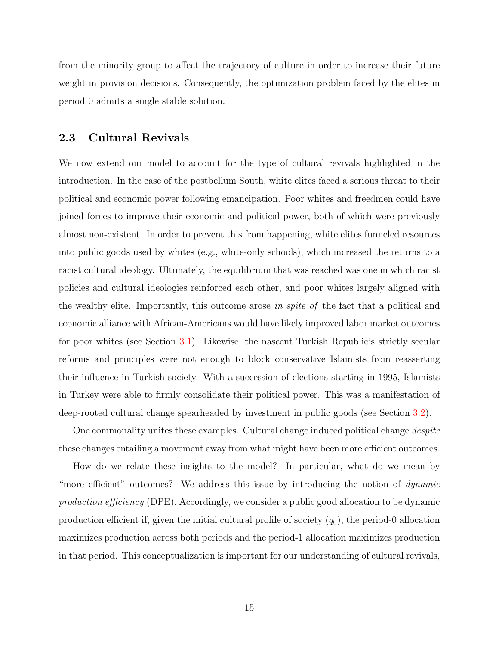from the minority group to affect the trajectory of culture in order to increase their future weight in provision decisions. Consequently, the optimization problem faced by the elites in period 0 admits a single stable solution.

### 2.3 Cultural Revivals

We now extend our model to account for the type of cultural revivals highlighted in the introduction. In the case of the postbellum South, white elites faced a serious threat to their political and economic power following emancipation. Poor whites and freedmen could have joined forces to improve their economic and political power, both of which were previously almost non-existent. In order to prevent this from happening, white elites funneled resources into public goods used by whites (e.g., white-only schools), which increased the returns to a racist cultural ideology. Ultimately, the equilibrium that was reached was one in which racist policies and cultural ideologies reinforced each other, and poor whites largely aligned with the wealthy elite. Importantly, this outcome arose in spite of the fact that a political and economic alliance with African-Americans would have likely improved labor market outcomes for poor whites (see Section 3.1). Likewise, the nascent Turkish Republic's strictly secular reforms and principles were not enough to block conservative Islamists from reasserting their influence in Turkish society. With a succession of elections starting in 1995, Islamists in Turkey were able to firmly consolidate their political power. This was a manifestation of deep-rooted cultural change spearheaded by investment in public goods (see Section 3.2).

One commonality unites these examples. Cultural change induced political change *despite* these changes entailing a movement away from what might have been more efficient outcomes.

How do we relate these insights to the model? In particular, what do we mean by "more efficient" outcomes? We address this issue by introducing the notion of *dynamic* production efficiency (DPE). Accordingly, we consider a public good allocation to be dynamic production efficient if, given the initial cultural profile of society  $(q_0)$ , the period-0 allocation maximizes production across both periods and the period-1 allocation maximizes production in that period. This conceptualization is important for our understanding of cultural revivals,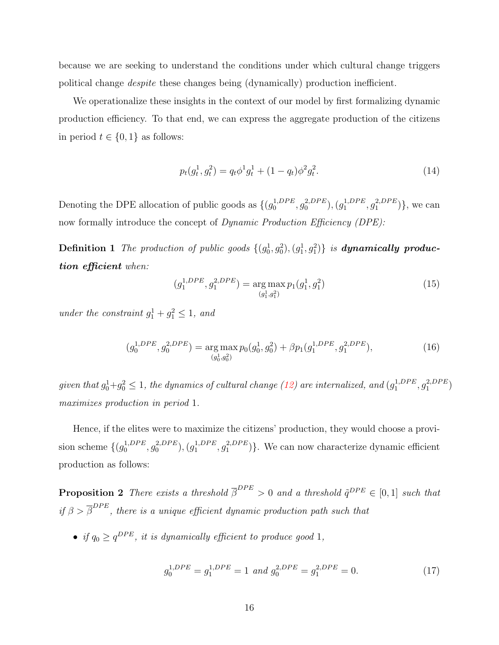because we are seeking to understand the conditions under which cultural change triggers political change despite these changes being (dynamically) production inefficient.

We operationalize these insights in the context of our model by first formalizing dynamic production efficiency. To that end, we can express the aggregate production of the citizens in period  $t \in \{0, 1\}$  as follows:

$$
p_t(g_t^1, g_t^2) = q_t \phi^1 g_t^1 + (1 - q_t) \phi^2 g_t^2.
$$
\n(14)

Denoting the DPE allocation of public goods as  $\{(g_0^{1,DPE}$  $\overset{1, DPE}{_{0}}, \overset{2, DPE}{_{0}}$  $\left( g_1^{1, DPE}\right), \left( g_1^{1, DPE}\right)$  $j_1^{1, DPE}, j_1^{2, DPE}$  $\binom{2,DPE}{1}$ , we can now formally introduce the concept of *Dynamic Production Efficiency (DPE)*:

**Definition 1** The production of public goods  $\{(g_0^1, g_0^2), (g_1^1, g_1^2)\}$  is **dynamically produc**tion efficient when:

$$
(g_1^{1, DPE}, g_1^{2, DPE}) = \underset{(g_1^1, g_1^2)}{\arg \max} p_1(g_1^1, g_1^2)
$$
 (15)

under the constraint  $g_1^1 + g_1^2 \leq 1$ , and

$$
(g_0^{1, DPE}, g_0^{2, DPE}) = \underset{(g_0^1, g_0^2)}{\arg \max} p_0(g_0^1, g_0^2) + \beta p_1(g_1^{1, DPE}, g_1^{2, DPE}), \tag{16}
$$

given that  $g_0^1+g_0^2\leq 1$ , the dynamics of cultural change (12) are internalized, and  $(g_1^{1,DPE}$  $j_1^{1, DPE}, j_1^{2, DPE}$  $\binom{2, DPE}{1}$ maximizes production in period 1.

Hence, if the elites were to maximize the citizens' production, they would choose a provision scheme  $\{(g_0^{1, DPE})\}$  $\overset{1, DPE}{_{0}}, \overset{2, DPE}{_{0}}$  $\left( g_1^{1, DPE}\right), \left( g_1^{1, DPE}\right)$  $j_1^{1, DPE}, j_1^{2, DPE}$  $\binom{2,DPE}{1}$ . We can now characterize dynamic efficient production as follows:

**Proposition 2** There exists a threshold  $\overline{\beta}^{DPE} > 0$  and a threshold  $\tilde{q}^{DPE} \in [0,1]$  such that if  $\beta > \overline{\beta}^{DPE}$ , there is a unique efficient dynamic production path such that

• if  $q_0 \geq q^{DPE}$ , it is dynamically efficient to produce good 1,

$$
g_0^{1, DPE} = g_1^{1, DPE} = 1 \text{ and } g_0^{2, DPE} = g_1^{2, DPE} = 0. \tag{17}
$$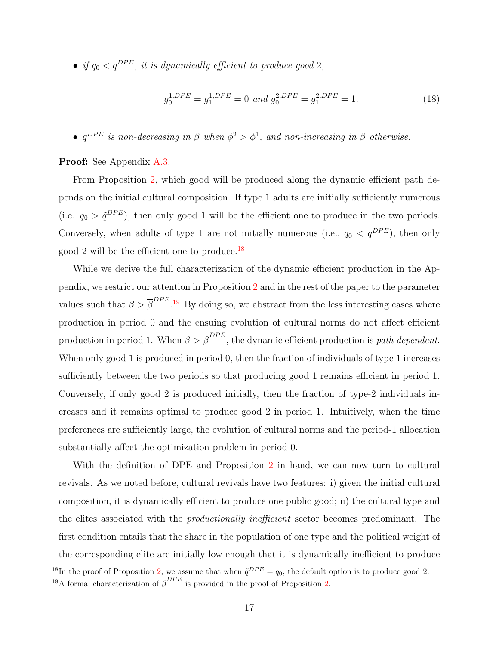• if  $q_0 < q^{DPE}$ , it is dynamically efficient to produce good 2,

$$
g_0^{1, DPE} = g_1^{1, DPE} = 0 \text{ and } g_0^{2, DPE} = g_1^{2, DPE} = 1.
$$
 (18)

•  $q^{DPE}$  is non-decreasing in  $\beta$  when  $\phi^2 > \phi^1$ , and non-increasing in  $\beta$  otherwise.

#### Proof: See Appendix A.3.

From Proposition 2, which good will be produced along the dynamic efficient path depends on the initial cultural composition. If type 1 adults are initially sufficiently numerous (i.e.  $q_0 > \tilde{q}^{DPE}$ ), then only good 1 will be the efficient one to produce in the two periods. Conversely, when adults of type 1 are not initially numerous (i.e.,  $q_0 < \tilde{q}^{DPE}$ ), then only good 2 will be the efficient one to produce.18

While we derive the full characterization of the dynamic efficient production in the Appendix, we restrict our attention in Proposition 2 and in the rest of the paper to the parameter values such that  $\beta > \bar{\beta}^{DPE}$ .<sup>19</sup> By doing so, we abstract from the less interesting cases where production in period 0 and the ensuing evolution of cultural norms do not affect efficient production in period 1. When  $\beta > \overline{\beta}^{DPE}$ , the dynamic efficient production is *path dependent*. When only good 1 is produced in period 0, then the fraction of individuals of type 1 increases sufficiently between the two periods so that producing good 1 remains efficient in period 1. Conversely, if only good 2 is produced initially, then the fraction of type-2 individuals increases and it remains optimal to produce good 2 in period 1. Intuitively, when the time preferences are sufficiently large, the evolution of cultural norms and the period-1 allocation substantially affect the optimization problem in period 0.

With the definition of DPE and Proposition 2 in hand, we can now turn to cultural revivals. As we noted before, cultural revivals have two features: i) given the initial cultural composition, it is dynamically efficient to produce one public good; ii) the cultural type and the elites associated with the productionally inefficient sector becomes predominant. The first condition entails that the share in the population of one type and the political weight of the corresponding elite are initially low enough that it is dynamically inefficient to produce

<sup>&</sup>lt;sup>18</sup>In the proof of Proposition 2, we assume that when  $\tilde{q}^{DPE} = q_0$ , the default option is to produce good 2.

<sup>&</sup>lt;sup>19</sup>A formal characterization of  $\overline{\beta}^{DPE}$  is provided in the proof of Proposition 2.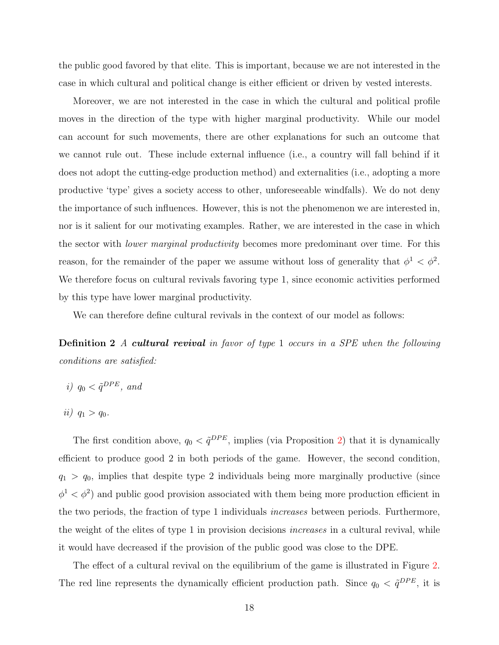the public good favored by that elite. This is important, because we are not interested in the case in which cultural and political change is either efficient or driven by vested interests.

Moreover, we are not interested in the case in which the cultural and political profile moves in the direction of the type with higher marginal productivity. While our model can account for such movements, there are other explanations for such an outcome that we cannot rule out. These include external influence (i.e., a country will fall behind if it does not adopt the cutting-edge production method) and externalities (i.e., adopting a more productive 'type' gives a society access to other, unforeseeable windfalls). We do not deny the importance of such influences. However, this is not the phenomenon we are interested in, nor is it salient for our motivating examples. Rather, we are interested in the case in which the sector with *lower marginal productivity* becomes more predominant over time. For this reason, for the remainder of the paper we assume without loss of generality that  $\phi^1 < \phi^2$ . We therefore focus on cultural revivals favoring type 1, since economic activities performed by this type have lower marginal productivity.

We can therefore define cultural revivals in the context of our model as follows:

**Definition 2** A **cultural revival** in favor of type 1 occurs in a SPE when the following conditions are satisfied:

- i)  $q_0 < \tilde{q}^{DPE}$ , and
- ii)  $q_1 > q_0$ .

The first condition above,  $q_0 < \tilde{q}^{DPE}$ , implies (via Proposition 2) that it is dynamically efficient to produce good 2 in both periods of the game. However, the second condition,  $q_1 > q_0$ , implies that despite type 2 individuals being more marginally productive (since  $\phi^1 < \phi^2$ ) and public good provision associated with them being more production efficient in the two periods, the fraction of type 1 individuals increases between periods. Furthermore, the weight of the elites of type 1 in provision decisions increases in a cultural revival, while it would have decreased if the provision of the public good was close to the DPE.

The effect of a cultural revival on the equilibrium of the game is illustrated in Figure 2. The red line represents the dynamically efficient production path. Since  $q_0 < \tilde{q}^{DPE}$ , it is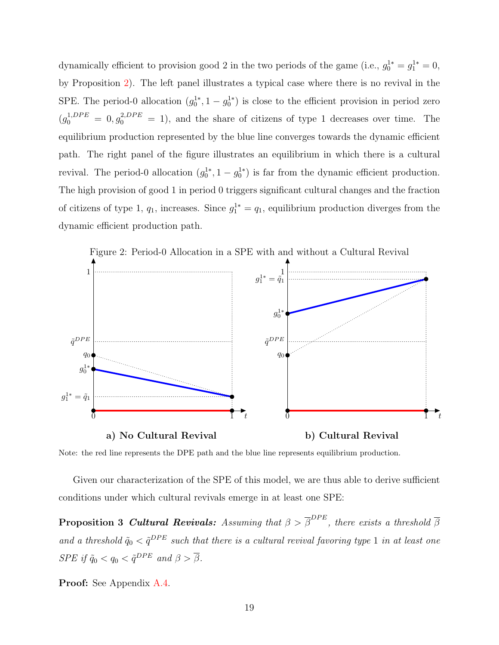dynamically efficient to provision good 2 in the two periods of the game (i.e.,  $g_0^{1*} = g_1^{1*} = 0$ , by Proposition 2). The left panel illustrates a typical case where there is no revival in the SPE. The period-0 allocation  $(g_0^{1*}, 1 - g_0^{1*})$  is close to the efficient provision in period zero  $(g_0^{1, DPE} = 0, g_0^{2, DPE} = 1)$ , and the share of citizens of type 1 decreases over time. The equilibrium production represented by the blue line converges towards the dynamic efficient path. The right panel of the figure illustrates an equilibrium in which there is a cultural revival. The period-0 allocation  $(g_0^{1*}, 1 - g_0^{1*})$  is far from the dynamic efficient production. The high provision of good 1 in period 0 triggers significant cultural changes and the fraction of citizens of type 1,  $q_1$ , increases. Since  $q_1^{1*} = q_1$ , equilibrium production diverges from the dynamic efficient production path.



Figure 2: Period-0 Allocation in a SPE with and without a Cultural Revival

Note: the red line represents the DPE path and the blue line represents equilibrium production.

Given our characterization of the SPE of this model, we are thus able to derive sufficient conditions under which cultural revivals emerge in at least one SPE:

**Proposition 3 Cultural Revivals:** Assuming that  $\beta > \overline{\beta}^{DPE}$ , there exists a threshold  $\overline{\beta}$ and a threshold  $\tilde{q}_0 < \tilde{q}^{DPE}$  such that there is a cultural revival favoring type 1 in at least one SPE if  $\tilde{q}_0 < q_0 < \tilde{q}^{DPE}$  and  $\beta > \overline{\beta}$ .

Proof: See Appendix A.4.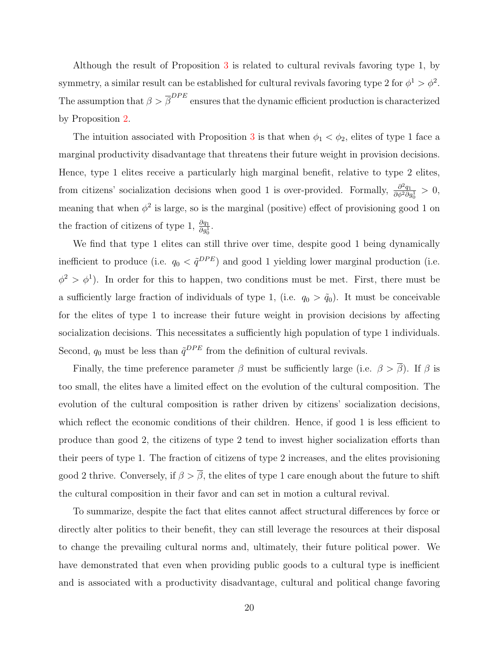Although the result of Proposition 3 is related to cultural revivals favoring type 1, by symmetry, a similar result can be established for cultural revivals favoring type 2 for  $\phi^1 > \phi^2$ . The assumption that  $\beta > \overline{\beta}^{DPE}$  ensures that the dynamic efficient production is characterized by Proposition 2.

The intuition associated with Proposition 3 is that when  $\phi_1 < \phi_2$ , elites of type 1 face a marginal productivity disadvantage that threatens their future weight in provision decisions. Hence, type 1 elites receive a particularly high marginal benefit, relative to type 2 elites, from citizens' socialization decisions when good 1 is over-provided. Formally,  $\frac{\partial^2 q_1}{\partial x^2 \partial y}$  $\frac{\partial^2 q_1}{\partial \phi^2 \partial g_0^1} > 0,$ meaning that when  $\phi^2$  is large, so is the marginal (positive) effect of provisioning good 1 on the fraction of citizens of type 1,  $\frac{\partial q_1}{\partial g_0^1}$ .

We find that type 1 elites can still thrive over time, despite good 1 being dynamically inefficient to produce (i.e.  $q_0 < \tilde{q}^{DPE}$ ) and good 1 yielding lower marginal production (i.e.  $\phi^2 > \phi^1$ ). In order for this to happen, two conditions must be met. First, there must be a sufficiently large fraction of individuals of type 1, (i.e.  $q_0 > \tilde{q}_0$ ). It must be conceivable for the elites of type 1 to increase their future weight in provision decisions by affecting socialization decisions. This necessitates a sufficiently high population of type 1 individuals. Second,  $q_0$  must be less than  $\tilde{q}^{DPE}$  from the definition of cultural revivals.

Finally, the time preference parameter  $\beta$  must be sufficiently large (i.e.  $\beta > \overline{\beta}$ ). If  $\beta$  is too small, the elites have a limited effect on the evolution of the cultural composition. The evolution of the cultural composition is rather driven by citizens' socialization decisions, which reflect the economic conditions of their children. Hence, if good 1 is less efficient to produce than good 2, the citizens of type 2 tend to invest higher socialization efforts than their peers of type 1. The fraction of citizens of type 2 increases, and the elites provisioning good 2 thrive. Conversely, if  $\beta > \overline{\beta}$ , the elites of type 1 care enough about the future to shift the cultural composition in their favor and can set in motion a cultural revival.

To summarize, despite the fact that elites cannot affect structural differences by force or directly alter politics to their benefit, they can still leverage the resources at their disposal to change the prevailing cultural norms and, ultimately, their future political power. We have demonstrated that even when providing public goods to a cultural type is inefficient and is associated with a productivity disadvantage, cultural and political change favoring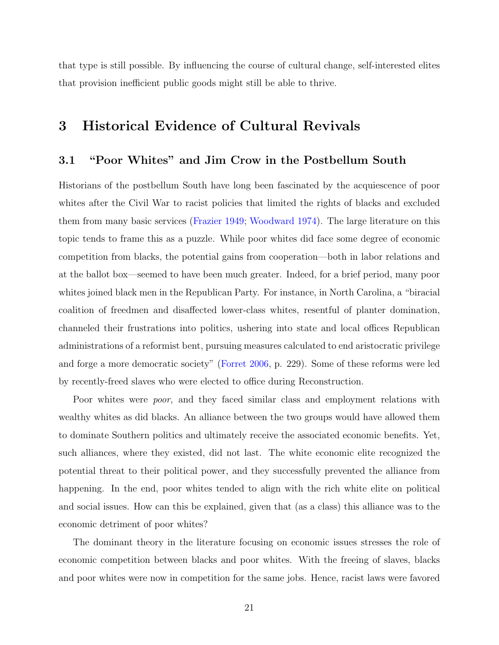that type is still possible. By influencing the course of cultural change, self-interested elites that provision inefficient public goods might still be able to thrive.

## 3 Historical Evidence of Cultural Revivals

### 3.1 "Poor Whites" and Jim Crow in the Postbellum South

Historians of the postbellum South have long been fascinated by the acquiescence of poor whites after the Civil War to racist policies that limited the rights of blacks and excluded them from many basic services (Frazier 1949; Woodward 1974). The large literature on this topic tends to frame this as a puzzle. While poor whites did face some degree of economic competition from blacks, the potential gains from cooperation—both in labor relations and at the ballot box—seemed to have been much greater. Indeed, for a brief period, many poor whites joined black men in the Republican Party. For instance, in North Carolina, a "biracial coalition of freedmen and disaffected lower-class whites, resentful of planter domination, channeled their frustrations into politics, ushering into state and local offices Republican administrations of a reformist bent, pursuing measures calculated to end aristocratic privilege and forge a more democratic society" (Forret 2006, p. 229). Some of these reforms were led by recently-freed slaves who were elected to office during Reconstruction.

Poor whites were *poor*, and they faced similar class and employment relations with wealthy whites as did blacks. An alliance between the two groups would have allowed them to dominate Southern politics and ultimately receive the associated economic benefits. Yet, such alliances, where they existed, did not last. The white economic elite recognized the potential threat to their political power, and they successfully prevented the alliance from happening. In the end, poor whites tended to align with the rich white elite on political and social issues. How can this be explained, given that (as a class) this alliance was to the economic detriment of poor whites?

The dominant theory in the literature focusing on economic issues stresses the role of economic competition between blacks and poor whites. With the freeing of slaves, blacks and poor whites were now in competition for the same jobs. Hence, racist laws were favored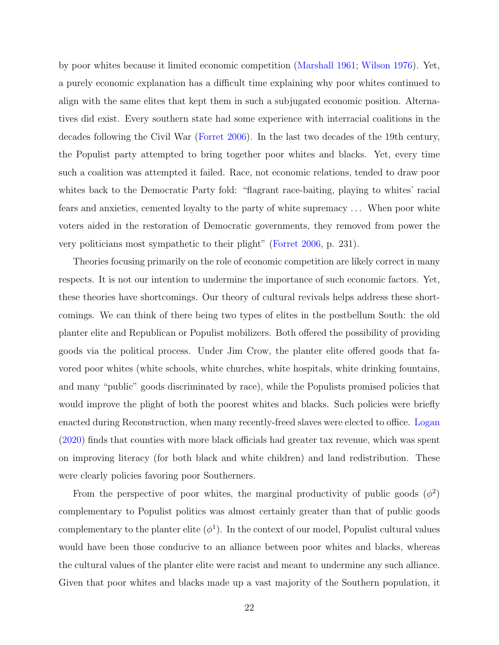by poor whites because it limited economic competition (Marshall 1961; Wilson 1976). Yet, a purely economic explanation has a difficult time explaining why poor whites continued to align with the same elites that kept them in such a subjugated economic position. Alternatives did exist. Every southern state had some experience with interracial coalitions in the decades following the Civil War (Forret 2006). In the last two decades of the 19th century, the Populist party attempted to bring together poor whites and blacks. Yet, every time such a coalition was attempted it failed. Race, not economic relations, tended to draw poor whites back to the Democratic Party fold: "flagrant race-baiting, playing to whites' racial fears and anxieties, cemented loyalty to the party of white supremacy . . . When poor white voters aided in the restoration of Democratic governments, they removed from power the very politicians most sympathetic to their plight" (Forret 2006, p. 231).

Theories focusing primarily on the role of economic competition are likely correct in many respects. It is not our intention to undermine the importance of such economic factors. Yet, these theories have shortcomings. Our theory of cultural revivals helps address these shortcomings. We can think of there being two types of elites in the postbellum South: the old planter elite and Republican or Populist mobilizers. Both offered the possibility of providing goods via the political process. Under Jim Crow, the planter elite offered goods that favored poor whites (white schools, white churches, white hospitals, white drinking fountains, and many "public" goods discriminated by race), while the Populists promised policies that would improve the plight of both the poorest whites and blacks. Such policies were briefly enacted during Reconstruction, when many recently-freed slaves were elected to office. Logan (2020) finds that counties with more black officials had greater tax revenue, which was spent on improving literacy (for both black and white children) and land redistribution. These were clearly policies favoring poor Southerners.

From the perspective of poor whites, the marginal productivity of public goods  $(\phi^2)$ complementary to Populist politics was almost certainly greater than that of public goods complementary to the planter elite  $(\phi^1)$ . In the context of our model, Populist cultural values would have been those conducive to an alliance between poor whites and blacks, whereas the cultural values of the planter elite were racist and meant to undermine any such alliance. Given that poor whites and blacks made up a vast majority of the Southern population, it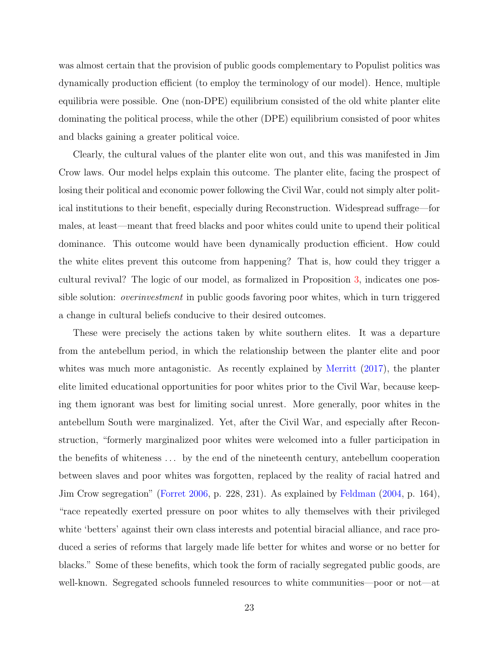was almost certain that the provision of public goods complementary to Populist politics was dynamically production efficient (to employ the terminology of our model). Hence, multiple equilibria were possible. One (non-DPE) equilibrium consisted of the old white planter elite dominating the political process, while the other (DPE) equilibrium consisted of poor whites and blacks gaining a greater political voice.

Clearly, the cultural values of the planter elite won out, and this was manifested in Jim Crow laws. Our model helps explain this outcome. The planter elite, facing the prospect of losing their political and economic power following the Civil War, could not simply alter political institutions to their benefit, especially during Reconstruction. Widespread suffrage—for males, at least—meant that freed blacks and poor whites could unite to upend their political dominance. This outcome would have been dynamically production efficient. How could the white elites prevent this outcome from happening? That is, how could they trigger a cultural revival? The logic of our model, as formalized in Proposition 3, indicates one possible solution: *overinvestment* in public goods favoring poor whites, which in turn triggered a change in cultural beliefs conducive to their desired outcomes.

These were precisely the actions taken by white southern elites. It was a departure from the antebellum period, in which the relationship between the planter elite and poor whites was much more antagonistic. As recently explained by Merritt (2017), the planter elite limited educational opportunities for poor whites prior to the Civil War, because keeping them ignorant was best for limiting social unrest. More generally, poor whites in the antebellum South were marginalized. Yet, after the Civil War, and especially after Reconstruction, "formerly marginalized poor whites were welcomed into a fuller participation in the benefits of whiteness . . . by the end of the nineteenth century, antebellum cooperation between slaves and poor whites was forgotten, replaced by the reality of racial hatred and Jim Crow segregation" (Forret 2006, p. 228, 231). As explained by Feldman (2004, p. 164), "race repeatedly exerted pressure on poor whites to ally themselves with their privileged white 'betters' against their own class interests and potential biracial alliance, and race produced a series of reforms that largely made life better for whites and worse or no better for blacks." Some of these benefits, which took the form of racially segregated public goods, are well-known. Segregated schools funneled resources to white communities—poor or not—at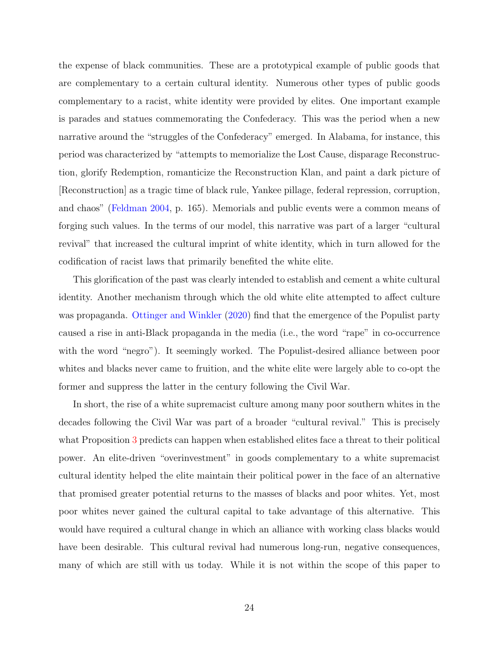the expense of black communities. These are a prototypical example of public goods that are complementary to a certain cultural identity. Numerous other types of public goods complementary to a racist, white identity were provided by elites. One important example is parades and statues commemorating the Confederacy. This was the period when a new narrative around the "struggles of the Confederacy" emerged. In Alabama, for instance, this period was characterized by "attempts to memorialize the Lost Cause, disparage Reconstruction, glorify Redemption, romanticize the Reconstruction Klan, and paint a dark picture of [Reconstruction] as a tragic time of black rule, Yankee pillage, federal repression, corruption, and chaos" (Feldman 2004, p. 165). Memorials and public events were a common means of forging such values. In the terms of our model, this narrative was part of a larger "cultural revival" that increased the cultural imprint of white identity, which in turn allowed for the codification of racist laws that primarily benefited the white elite.

This glorification of the past was clearly intended to establish and cement a white cultural identity. Another mechanism through which the old white elite attempted to affect culture was propaganda. Ottinger and Winkler (2020) find that the emergence of the Populist party caused a rise in anti-Black propaganda in the media (i.e., the word "rape" in co-occurrence with the word "negro"). It seemingly worked. The Populist-desired alliance between poor whites and blacks never came to fruition, and the white elite were largely able to co-opt the former and suppress the latter in the century following the Civil War.

In short, the rise of a white supremacist culture among many poor southern whites in the decades following the Civil War was part of a broader "cultural revival." This is precisely what Proposition 3 predicts can happen when established elites face a threat to their political power. An elite-driven "overinvestment" in goods complementary to a white supremacist cultural identity helped the elite maintain their political power in the face of an alternative that promised greater potential returns to the masses of blacks and poor whites. Yet, most poor whites never gained the cultural capital to take advantage of this alternative. This would have required a cultural change in which an alliance with working class blacks would have been desirable. This cultural revival had numerous long-run, negative consequences, many of which are still with us today. While it is not within the scope of this paper to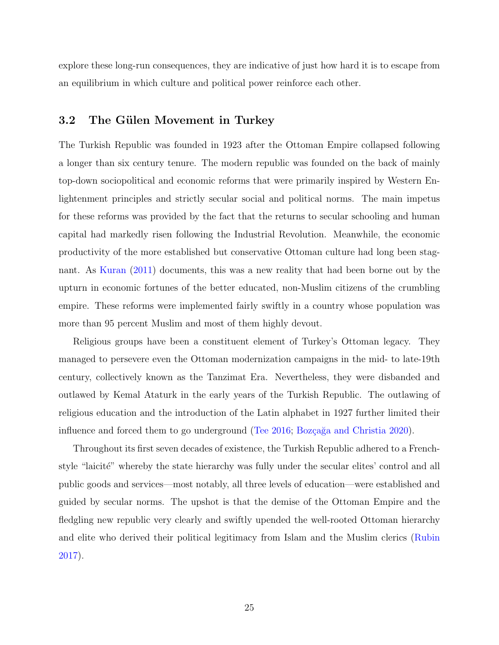explore these long-run consequences, they are indicative of just how hard it is to escape from an equilibrium in which culture and political power reinforce each other.

### 3.2 The Gülen Movement in Turkey

The Turkish Republic was founded in 1923 after the Ottoman Empire collapsed following a longer than six century tenure. The modern republic was founded on the back of mainly top-down sociopolitical and economic reforms that were primarily inspired by Western Enlightenment principles and strictly secular social and political norms. The main impetus for these reforms was provided by the fact that the returns to secular schooling and human capital had markedly risen following the Industrial Revolution. Meanwhile, the economic productivity of the more established but conservative Ottoman culture had long been stagnant. As Kuran (2011) documents, this was a new reality that had been borne out by the upturn in economic fortunes of the better educated, non-Muslim citizens of the crumbling empire. These reforms were implemented fairly swiftly in a country whose population was more than 95 percent Muslim and most of them highly devout.

Religious groups have been a constituent element of Turkey's Ottoman legacy. They managed to persevere even the Ottoman modernization campaigns in the mid- to late-19th century, collectively known as the Tanzimat Era. Nevertheless, they were disbanded and outlawed by Kemal Ataturk in the early years of the Turkish Republic. The outlawing of religious education and the introduction of the Latin alphabet in 1927 further limited their influence and forced them to go underground (Tee 2016; Bozçağa and Christia 2020).

Throughout its first seven decades of existence, the Turkish Republic adhered to a Frenchstyle "laicité" whereby the state hierarchy was fully under the secular elites' control and all public goods and services—most notably, all three levels of education—were established and guided by secular norms. The upshot is that the demise of the Ottoman Empire and the fledgling new republic very clearly and swiftly upended the well-rooted Ottoman hierarchy and elite who derived their political legitimacy from Islam and the Muslim clerics (Rubin 2017).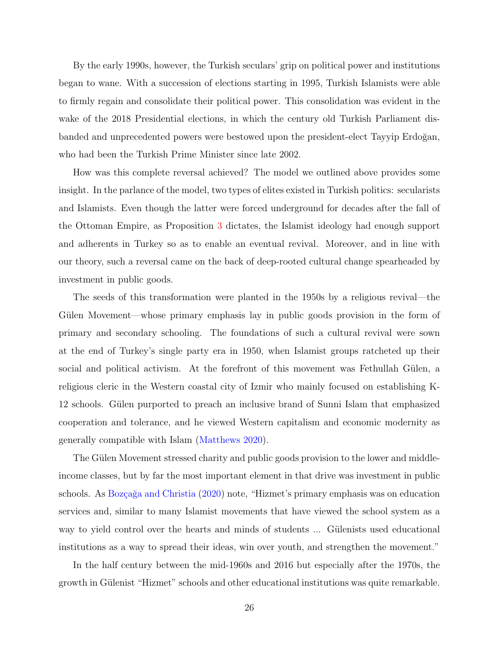By the early 1990s, however, the Turkish seculars' grip on political power and institutions began to wane. With a succession of elections starting in 1995, Turkish Islamists were able to firmly regain and consolidate their political power. This consolidation was evident in the wake of the 2018 Presidential elections, in which the century old Turkish Parliament disbanded and unprecedented powers were bestowed upon the president-elect Tayyip Erdoğan, who had been the Turkish Prime Minister since late 2002.

How was this complete reversal achieved? The model we outlined above provides some insight. In the parlance of the model, two types of elites existed in Turkish politics: secularists and Islamists. Even though the latter were forced underground for decades after the fall of the Ottoman Empire, as Proposition 3 dictates, the Islamist ideology had enough support and adherents in Turkey so as to enable an eventual revival. Moreover, and in line with our theory, such a reversal came on the back of deep-rooted cultural change spearheaded by investment in public goods.

The seeds of this transformation were planted in the 1950s by a religious revival—the Gülen Movement—whose primary emphasis lay in public goods provision in the form of primary and secondary schooling. The foundations of such a cultural revival were sown at the end of Turkey's single party era in 1950, when Islamist groups ratcheted up their social and political activism. At the forefront of this movement was Fethullah Gülen, a religious cleric in the Western coastal city of Izmir who mainly focused on establishing K-12 schools. Gülen purported to preach an inclusive brand of Sunni Islam that emphasized cooperation and tolerance, and he viewed Western capitalism and economic modernity as generally compatible with Islam (Matthews 2020).

The Gülen Movement stressed charity and public goods provision to the lower and middleincome classes, but by far the most important element in that drive was investment in public schools. As Bozçağa and Christia (2020) note, "Hizmet's primary emphasis was on education services and, similar to many Islamist movements that have viewed the school system as a way to yield control over the hearts and minds of students ... Gülenists used educational institutions as a way to spread their ideas, win over youth, and strengthen the movement."

In the half century between the mid-1960s and 2016 but especially after the 1970s, the growth in Gülenist "Hizmet" schools and other educational institutions was quite remarkable.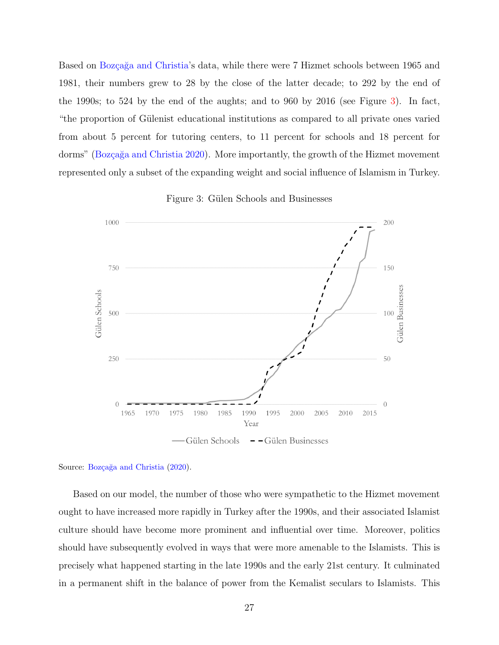Based on Bozçağa and Christia's data, while there were 7 Hizmet schools between 1965 and 1981, their numbers grew to 28 by the close of the latter decade; to 292 by the end of the 1990s; to 524 by the end of the aughts; and to 960 by 2016 (see Figure 3). In fact, "the proportion of G¨ulenist educational institutions as compared to all private ones varied from about 5 percent for tutoring centers, to 11 percent for schools and 18 percent for dorms" (Bozçağa and Christia 2020). More importantly, the growth of the Hizmet movement represented only a subset of the expanding weight and social influence of Islamism in Turkey.



Figure 3: Gülen Schools and Businesses

Based on our model, the number of those who were sympathetic to the Hizmet movement ought to have increased more rapidly in Turkey after the 1990s, and their associated Islamist culture should have become more prominent and influential over time. Moreover, politics should have subsequently evolved in ways that were more amenable to the Islamists. This is precisely what happened starting in the late 1990s and the early 21st century. It culminated in a permanent shift in the balance of power from the Kemalist seculars to Islamists. This

Source: Bozçağa and Christia (2020).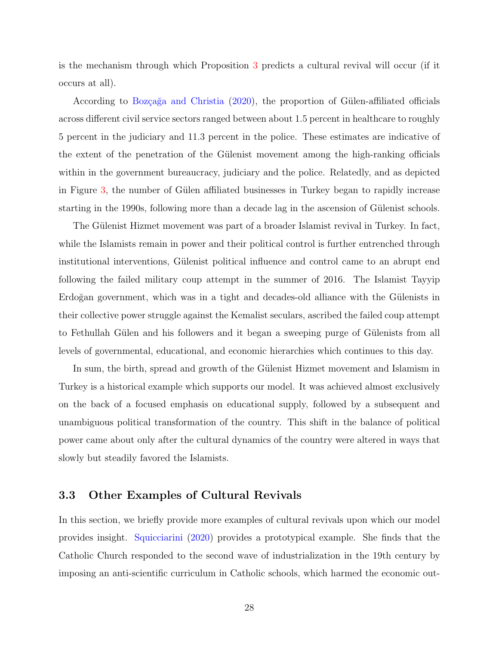is the mechanism through which Proposition 3 predicts a cultural revival will occur (if it occurs at all).

According to Bozçağa and Christia (2020), the proportion of Gülen-affiliated officials across different civil service sectors ranged between about 1.5 percent in healthcare to roughly 5 percent in the judiciary and 11.3 percent in the police. These estimates are indicative of the extent of the penetration of the Gülenist movement among the high-ranking officials within in the government bureaucracy, judiciary and the police. Relatedly, and as depicted in Figure 3, the number of Gülen affiliated businesses in Turkey began to rapidly increase starting in the 1990s, following more than a decade lag in the ascension of Gülenist schools.

The Gülenist Hizmet movement was part of a broader Islamist revival in Turkey. In fact, while the Islamists remain in power and their political control is further entrenched through institutional interventions, Gülenist political influence and control came to an abrupt end following the failed military coup attempt in the summer of 2016. The Islamist Tayyip Erdoğan government, which was in a tight and decades-old alliance with the Gülenists in their collective power struggle against the Kemalist seculars, ascribed the failed coup attempt to Fethullah Gülen and his followers and it began a sweeping purge of Gülenists from all levels of governmental, educational, and economic hierarchies which continues to this day.

In sum, the birth, spread and growth of the Gülenist Hizmet movement and Islamism in Turkey is a historical example which supports our model. It was achieved almost exclusively on the back of a focused emphasis on educational supply, followed by a subsequent and unambiguous political transformation of the country. This shift in the balance of political power came about only after the cultural dynamics of the country were altered in ways that slowly but steadily favored the Islamists.

### 3.3 Other Examples of Cultural Revivals

In this section, we briefly provide more examples of cultural revivals upon which our model provides insight. Squicciarini (2020) provides a prototypical example. She finds that the Catholic Church responded to the second wave of industrialization in the 19th century by imposing an anti-scientific curriculum in Catholic schools, which harmed the economic out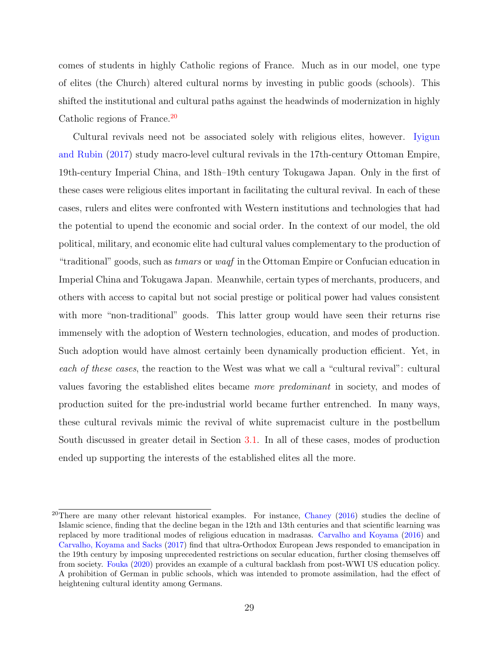comes of students in highly Catholic regions of France. Much as in our model, one type of elites (the Church) altered cultural norms by investing in public goods (schools). This shifted the institutional and cultural paths against the headwinds of modernization in highly Catholic regions of France.<sup>20</sup>

Cultural revivals need not be associated solely with religious elites, however. Iyigun and Rubin (2017) study macro-level cultural revivals in the 17th-century Ottoman Empire, 19th-century Imperial China, and 18th–19th century Tokugawa Japan. Only in the first of these cases were religious elites important in facilitating the cultural revival. In each of these cases, rulers and elites were confronted with Western institutions and technologies that had the potential to upend the economic and social order. In the context of our model, the old political, military, and economic elite had cultural values complementary to the production of "traditional" goods, such as tımars or waqf in the Ottoman Empire or Confucian education in Imperial China and Tokugawa Japan. Meanwhile, certain types of merchants, producers, and others with access to capital but not social prestige or political power had values consistent with more "non-traditional" goods. This latter group would have seen their returns rise immensely with the adoption of Western technologies, education, and modes of production. Such adoption would have almost certainly been dynamically production efficient. Yet, in each of these cases, the reaction to the West was what we call a "cultural revival": cultural values favoring the established elites became more predominant in society, and modes of production suited for the pre-industrial world became further entrenched. In many ways, these cultural revivals mimic the revival of white supremacist culture in the postbellum South discussed in greater detail in Section 3.1. In all of these cases, modes of production ended up supporting the interests of the established elites all the more.

<sup>&</sup>lt;sup>20</sup>There are many other relevant historical examples. For instance, Chaney (2016) studies the decline of Islamic science, finding that the decline began in the 12th and 13th centuries and that scientific learning was replaced by more traditional modes of religious education in madrasas. Carvalho and Koyama (2016) and Carvalho, Koyama and Sacks (2017) find that ultra-Orthodox European Jews responded to emancipation in the 19th century by imposing unprecedented restrictions on secular education, further closing themselves off from society. Fouka (2020) provides an example of a cultural backlash from post-WWI US education policy. A prohibition of German in public schools, which was intended to promote assimilation, had the effect of heightening cultural identity among Germans.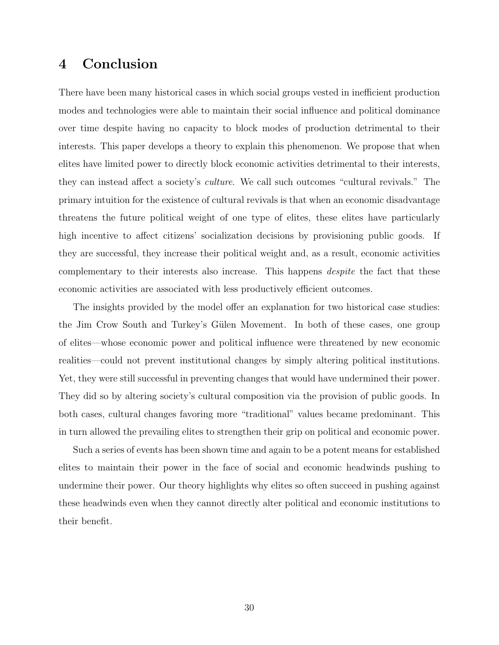# 4 Conclusion

There have been many historical cases in which social groups vested in inefficient production modes and technologies were able to maintain their social influence and political dominance over time despite having no capacity to block modes of production detrimental to their interests. This paper develops a theory to explain this phenomenon. We propose that when elites have limited power to directly block economic activities detrimental to their interests, they can instead affect a society's culture. We call such outcomes "cultural revivals." The primary intuition for the existence of cultural revivals is that when an economic disadvantage threatens the future political weight of one type of elites, these elites have particularly high incentive to affect citizens' socialization decisions by provisioning public goods. If they are successful, they increase their political weight and, as a result, economic activities complementary to their interests also increase. This happens *despite* the fact that these economic activities are associated with less productively efficient outcomes.

The insights provided by the model offer an explanation for two historical case studies: the Jim Crow South and Turkey's Gülen Movement. In both of these cases, one group of elites—whose economic power and political influence were threatened by new economic realities—could not prevent institutional changes by simply altering political institutions. Yet, they were still successful in preventing changes that would have undermined their power. They did so by altering society's cultural composition via the provision of public goods. In both cases, cultural changes favoring more "traditional" values became predominant. This in turn allowed the prevailing elites to strengthen their grip on political and economic power.

Such a series of events has been shown time and again to be a potent means for established elites to maintain their power in the face of social and economic headwinds pushing to undermine their power. Our theory highlights why elites so often succeed in pushing against these headwinds even when they cannot directly alter political and economic institutions to their benefit.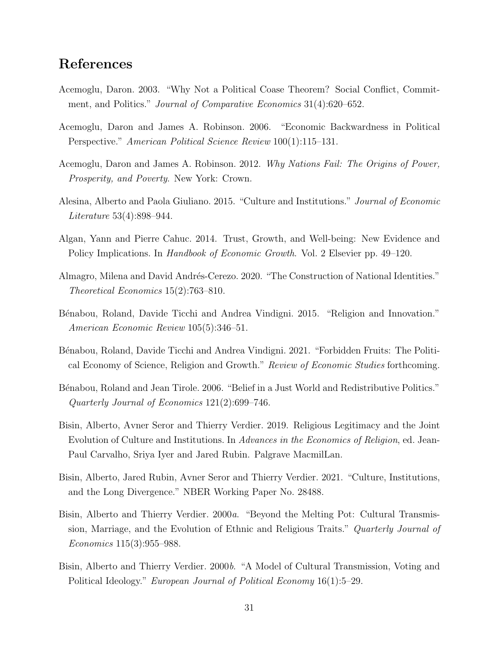# References

- Acemoglu, Daron. 2003. "Why Not a Political Coase Theorem? Social Conflict, Commitment, and Politics." Journal of Comparative Economics 31(4):620–652.
- Acemoglu, Daron and James A. Robinson. 2006. "Economic Backwardness in Political Perspective." American Political Science Review 100(1):115–131.
- Acemoglu, Daron and James A. Robinson. 2012. Why Nations Fail: The Origins of Power, Prosperity, and Poverty. New York: Crown.
- Alesina, Alberto and Paola Giuliano. 2015. "Culture and Institutions." Journal of Economic Literature 53(4):898–944.
- Algan, Yann and Pierre Cahuc. 2014. Trust, Growth, and Well-being: New Evidence and Policy Implications. In *Handbook of Economic Growth*. Vol. 2 Elsevier pp. 49–120.
- Almagro, Milena and David Andrés-Cerezo. 2020. "The Construction of National Identities." Theoretical Economics 15(2):763–810.
- Bénabou, Roland, Davide Ticchi and Andrea Vindigni. 2015. "Religion and Innovation." American Economic Review 105(5):346–51.
- B´enabou, Roland, Davide Ticchi and Andrea Vindigni. 2021. "Forbidden Fruits: The Political Economy of Science, Religion and Growth." Review of Economic Studies forthcoming.
- Bénabou, Roland and Jean Tirole. 2006. "Belief in a Just World and Redistributive Politics." Quarterly Journal of Economics 121(2):699–746.
- Bisin, Alberto, Avner Seror and Thierry Verdier. 2019. Religious Legitimacy and the Joint Evolution of Culture and Institutions. In Advances in the Economics of Religion, ed. Jean-Paul Carvalho, Sriya Iyer and Jared Rubin. Palgrave MacmilLan.
- Bisin, Alberto, Jared Rubin, Avner Seror and Thierry Verdier. 2021. "Culture, Institutions, and the Long Divergence." NBER Working Paper No. 28488.
- Bisin, Alberto and Thierry Verdier. 2000a. "Beyond the Melting Pot: Cultural Transmission, Marriage, and the Evolution of Ethnic and Religious Traits." Quarterly Journal of Economics 115(3):955–988.
- Bisin, Alberto and Thierry Verdier. 2000b. "A Model of Cultural Transmission, Voting and Political Ideology." European Journal of Political Economy 16(1):5–29.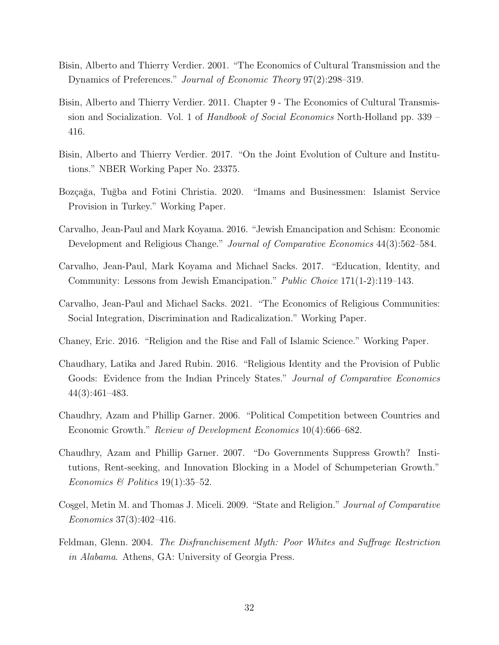- Bisin, Alberto and Thierry Verdier. 2001. "The Economics of Cultural Transmission and the Dynamics of Preferences." Journal of Economic Theory 97(2):298–319.
- Bisin, Alberto and Thierry Verdier. 2011. Chapter 9 The Economics of Cultural Transmission and Socialization. Vol. 1 of Handbook of Social Economics North-Holland pp. 339 – 416.
- Bisin, Alberto and Thierry Verdier. 2017. "On the Joint Evolution of Culture and Institutions." NBER Working Paper No. 23375.
- Bozçağa, Tuğba and Fotini Christia. 2020. "Imams and Businessmen: Islamist Service Provision in Turkey." Working Paper.
- Carvalho, Jean-Paul and Mark Koyama. 2016. "Jewish Emancipation and Schism: Economic Development and Religious Change." Journal of Comparative Economics 44(3):562–584.
- Carvalho, Jean-Paul, Mark Koyama and Michael Sacks. 2017. "Education, Identity, and Community: Lessons from Jewish Emancipation." Public Choice 171(1-2):119–143.
- Carvalho, Jean-Paul and Michael Sacks. 2021. "The Economics of Religious Communities: Social Integration, Discrimination and Radicalization." Working Paper.
- Chaney, Eric. 2016. "Religion and the Rise and Fall of Islamic Science." Working Paper.
- Chaudhary, Latika and Jared Rubin. 2016. "Religious Identity and the Provision of Public Goods: Evidence from the Indian Princely States." Journal of Comparative Economics 44(3):461–483.
- Chaudhry, Azam and Phillip Garner. 2006. "Political Competition between Countries and Economic Growth." Review of Development Economics 10(4):666–682.
- Chaudhry, Azam and Phillip Garner. 2007. "Do Governments Suppress Growth? Institutions, Rent-seeking, and Innovation Blocking in a Model of Schumpeterian Growth." Economics & Politics  $19(1)$ :35–52.
- Cosgel, Metin M. and Thomas J. Miceli. 2009. "State and Religion." Journal of Comparative Economics 37(3):402–416.
- Feldman, Glenn. 2004. The Disfranchisement Myth: Poor Whites and Suffrage Restriction in Alabama. Athens, GA: University of Georgia Press.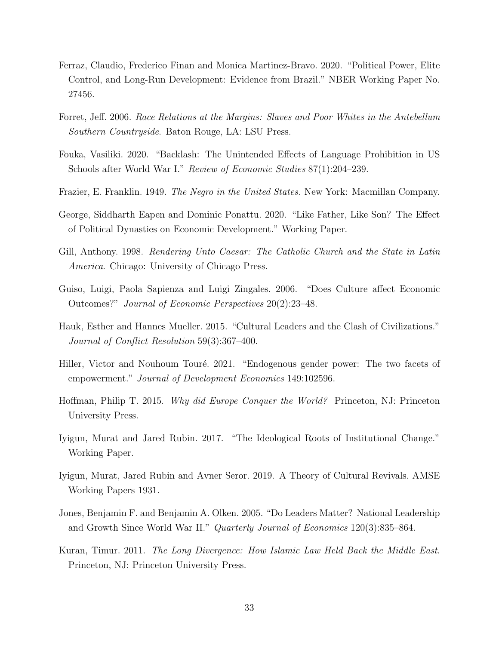- Ferraz, Claudio, Frederico Finan and Monica Martinez-Bravo. 2020. "Political Power, Elite Control, and Long-Run Development: Evidence from Brazil." NBER Working Paper No. 27456.
- Forret, Jeff. 2006. Race Relations at the Margins: Slaves and Poor Whites in the Antebellum Southern Countryside. Baton Rouge, LA: LSU Press.
- Fouka, Vasiliki. 2020. "Backlash: The Unintended Effects of Language Prohibition in US Schools after World War I." Review of Economic Studies 87(1):204–239.
- Frazier, E. Franklin. 1949. The Negro in the United States. New York: Macmillan Company.
- George, Siddharth Eapen and Dominic Ponattu. 2020. "Like Father, Like Son? The Effect of Political Dynasties on Economic Development." Working Paper.
- Gill, Anthony. 1998. Rendering Unto Caesar: The Catholic Church and the State in Latin America. Chicago: University of Chicago Press.
- Guiso, Luigi, Paola Sapienza and Luigi Zingales. 2006. "Does Culture affect Economic Outcomes?" Journal of Economic Perspectives 20(2):23–48.
- Hauk, Esther and Hannes Mueller. 2015. "Cultural Leaders and the Clash of Civilizations." Journal of Conflict Resolution 59(3):367–400.
- Hiller, Victor and Nouhoum Touré. 2021. "Endogenous gender power: The two facets of empowerment." Journal of Development Economics 149:102596.
- Hoffman, Philip T. 2015. Why did Europe Conquer the World? Princeton, NJ: Princeton University Press.
- Iyigun, Murat and Jared Rubin. 2017. "The Ideological Roots of Institutional Change." Working Paper.
- Iyigun, Murat, Jared Rubin and Avner Seror. 2019. A Theory of Cultural Revivals. AMSE Working Papers 1931.
- Jones, Benjamin F. and Benjamin A. Olken. 2005. "Do Leaders Matter? National Leadership and Growth Since World War II." Quarterly Journal of Economics 120(3):835–864.
- Kuran, Timur. 2011. The Long Divergence: How Islamic Law Held Back the Middle East. Princeton, NJ: Princeton University Press.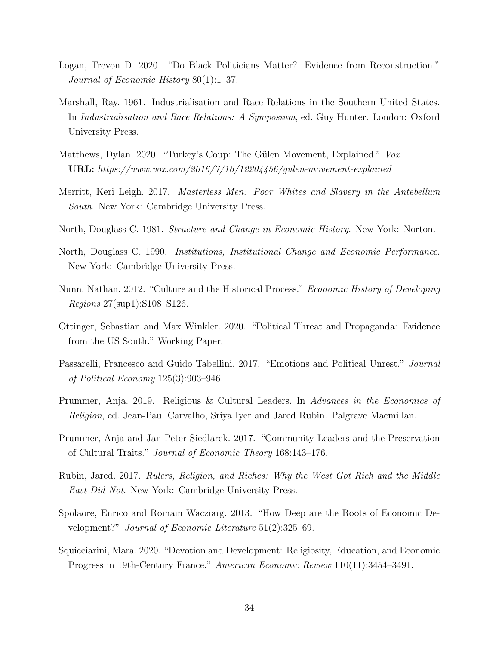- Logan, Trevon D. 2020. "Do Black Politicians Matter? Evidence from Reconstruction." Journal of Economic History 80(1):1–37.
- Marshall, Ray. 1961. Industrialisation and Race Relations in the Southern United States. In Industrialisation and Race Relations: A Symposium, ed. Guy Hunter. London: Oxford University Press.
- Matthews, Dylan. 2020. "Turkey's Coup: The Gülen Movement, Explained." Vox. URL: https://www.vox.com/2016/7/16/12204456/gulen-movement-explained
- Merritt, Keri Leigh. 2017. Masterless Men: Poor Whites and Slavery in the Antebellum South. New York: Cambridge University Press.
- North, Douglass C. 1981. Structure and Change in Economic History. New York: Norton.
- North, Douglass C. 1990. Institutions, Institutional Change and Economic Performance. New York: Cambridge University Press.
- Nunn, Nathan. 2012. "Culture and the Historical Process." Economic History of Developing Regions 27(sup1):S108–S126.
- Ottinger, Sebastian and Max Winkler. 2020. "Political Threat and Propaganda: Evidence from the US South." Working Paper.
- Passarelli, Francesco and Guido Tabellini. 2017. "Emotions and Political Unrest." Journal of Political Economy 125(3):903–946.
- Prummer, Anja. 2019. Religious & Cultural Leaders. In Advances in the Economics of Religion, ed. Jean-Paul Carvalho, Sriya Iyer and Jared Rubin. Palgrave Macmillan.
- Prummer, Anja and Jan-Peter Siedlarek. 2017. "Community Leaders and the Preservation of Cultural Traits." Journal of Economic Theory 168:143–176.
- Rubin, Jared. 2017. Rulers, Religion, and Riches: Why the West Got Rich and the Middle East Did Not. New York: Cambridge University Press.
- Spolaore, Enrico and Romain Wacziarg. 2013. "How Deep are the Roots of Economic Development?" Journal of Economic Literature 51(2):325–69.
- Squicciarini, Mara. 2020. "Devotion and Development: Religiosity, Education, and Economic Progress in 19th-Century France." American Economic Review 110(11):3454–3491.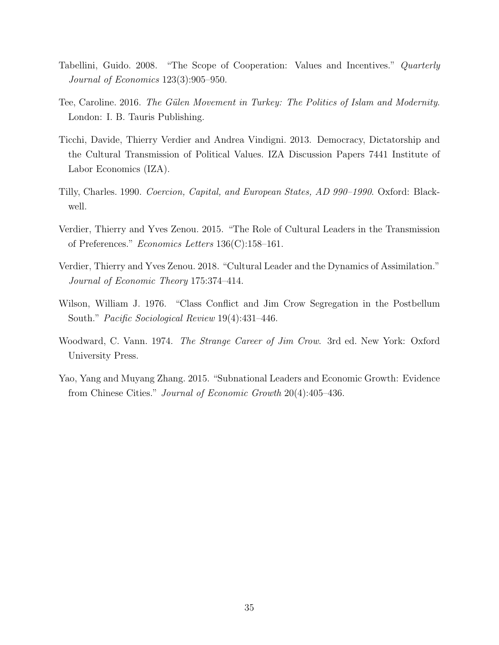- Tabellini, Guido. 2008. "The Scope of Cooperation: Values and Incentives." Quarterly Journal of Economics 123(3):905–950.
- Tee, Caroline. 2016. The Gülen Movement in Turkey: The Politics of Islam and Modernity. London: I. B. Tauris Publishing.
- Ticchi, Davide, Thierry Verdier and Andrea Vindigni. 2013. Democracy, Dictatorship and the Cultural Transmission of Political Values. IZA Discussion Papers 7441 Institute of Labor Economics (IZA).
- Tilly, Charles. 1990. Coercion, Capital, and European States, AD 990–1990. Oxford: Blackwell.
- Verdier, Thierry and Yves Zenou. 2015. "The Role of Cultural Leaders in the Transmission of Preferences." Economics Letters 136(C):158–161.
- Verdier, Thierry and Yves Zenou. 2018. "Cultural Leader and the Dynamics of Assimilation." Journal of Economic Theory 175:374–414.
- Wilson, William J. 1976. "Class Conflict and Jim Crow Segregation in the Postbellum South." Pacific Sociological Review 19(4):431–446.
- Woodward, C. Vann. 1974. The Strange Career of Jim Crow. 3rd ed. New York: Oxford University Press.
- Yao, Yang and Muyang Zhang. 2015. "Subnational Leaders and Economic Growth: Evidence from Chinese Cities." Journal of Economic Growth 20(4):405–436.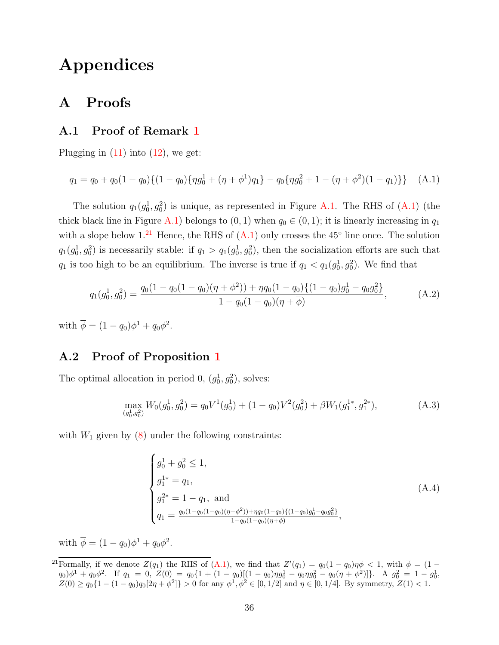# Appendices

# A Proofs

## A.1 Proof of Remark 1

Plugging in  $(11)$  into  $(12)$ , we get:

$$
q_1 = q_0 + q_0(1 - q_0)\{(1 - q_0)\{\eta g_0^1 + (\eta + \phi^1)q_1\} - q_0\{\eta g_0^2 + 1 - (\eta + \phi^2)(1 - q_1)\}\}\
$$
(A.1)

The solution  $q_1(g_0^1, g_0^2)$  is unique, as represented in Figure A.1. The RHS of (A.1) (the thick black line in Figure A.1) belongs to  $(0, 1)$  when  $q_0 \in (0, 1)$ ; it is linearly increasing in  $q_1$ with a slope below  $1<sup>21</sup>$  Hence, the RHS of  $(A.1)$  only crosses the 45 $\degree$  line once. The solution  $q_1(g_0^1, g_0^2)$  is necessarily stable: if  $q_1 > q_1(g_0^1, g_0^2)$ , then the socialization efforts are such that  $q_1$  is too high to be an equilibrium. The inverse is true if  $q_1 < q_1(q_0^1, g_0^2)$ . We find that

$$
q_1(g_0^1, g_0^2) = \frac{q_0(1 - q_0(1 - q_0)(\eta + \phi^2)) + \eta q_0(1 - q_0)\{(1 - q_0)g_0^1 - q_0g_0^2\}}{1 - q_0(1 - q_0)(\eta + \overline{\phi})},
$$
(A.2)

with  $\bar{\phi} = (1 - q_0)\phi^1 + q_0\phi^2$ .

## A.2 Proof of Proposition 1

The optimal allocation in period 0,  $(g_0^1, g_0^2)$ , solves:

$$
\max_{(g_0^1, g_0^2)} W_0(g_0^1, g_0^2) = q_0 V^1(g_0^1) + (1 - q_0) V^2(g_0^2) + \beta W_1(g_1^{1*}, g_1^{2*}),
$$
\n(A.3)

with  $W_1$  given by  $(8)$  under the following constraints:

$$
\begin{cases}\ng_0^1 + g_0^2 \le 1, \\
g_1^{1*} = q_1, \\
g_1^{2*} = 1 - q_1, \text{ and} \\
q_1 = \frac{q_0(1 - q_0(1 - q_0)(\eta + \phi^2)) + \eta q_0(1 - q_0)\{(1 - q_0)g_0^1 - q_0g_0^2\}}{1 - q_0(1 - q_0)(\eta + \overline{\phi})},\n\end{cases} \tag{A.4}
$$

with  $\bar{\phi} = (1 - q_0)\phi^1 + q_0\phi^2$ .

<sup>&</sup>lt;sup>21</sup>Formally, if we denote  $Z(q_1)$  the RHS of  $(A.1)$ , we find that  $Z'(q_1) = q_0(1 - q_0)\eta \overline{\phi} < 1$ , with  $\overline{\phi} = (1 - \eta)$  $q_0\phi^1 + q_0\phi^2$ . If  $q_1 = 0$ ,  $Z(0) = q_0\{1 + (1 - q_0)[(1 - q_0)\eta g_0^1 - q_0\eta g_0^2 - q_0(\eta + \phi^2)]\}$ . A  $g_0^2 = 1 - g_0^1$ ,  $Z(0) \ge q_0\{1 - (1 - q_0)q_0[2\eta + \phi^2]\} > 0$  for any  $\phi^1, \phi^2 \in [0, 1/2]$  and  $\eta \in [0, 1/4]$ . By symmetry,  $Z(1) < 1$ .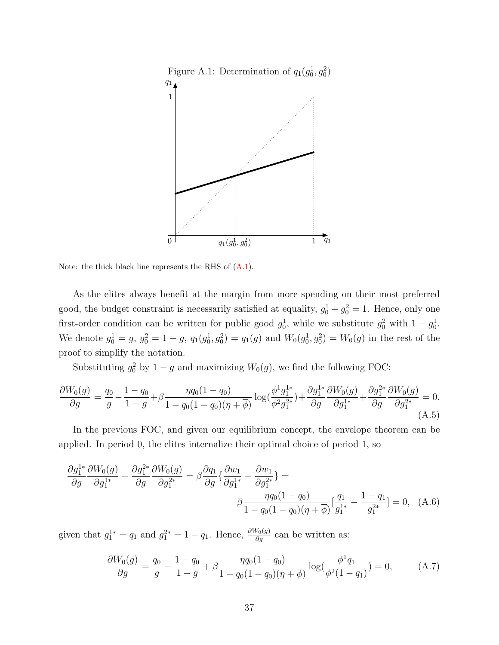

Note: the thick black line represents the RHS of  $(A.1)$ .

As the elites always benefit at the margin from more spending on their most preferred good, the budget constraint is necessarily satisfied at equality,  $g_0^1 + g_0^2 = 1$ . Hence, only one first-order condition can be written for public good  $g_0^1$ , while we substitute  $g_0^2$  with  $1 - g_0^1$ . We denote  $g_0^1 = g$ ,  $g_0^2 = 1 - g$ ,  $q_1(g_0^1, g_0^2) = q_1(g)$  and  $W_0(g_0^1, g_0^2) = W_0(g)$  in the rest of the proof to simplify the notation.

Substituting  $g_0^2$  by  $1-g$  and maximizing  $W_0(g)$ , we find the following FOC:

$$
\frac{\partial W_0(g)}{\partial g} = \frac{q_0}{g} - \frac{1 - q_0}{1 - g} + \beta \frac{\eta q_0 (1 - q_0)}{1 - q_0 (1 - q_0)(\eta + \overline{\phi})} \log(\frac{\phi^1 g_1^{1*}}{\phi^2 g_1^{2*}}) + \frac{\partial g_1^{1*}}{\partial g} \frac{\partial W_0(g)}{\partial g_1^{1*}} + \frac{\partial g_1^{2*}}{\partial g} \frac{\partial W_0(g)}{\partial g_1^{2*}} = 0.
$$
\n(A.5)

In the previous FOC, and given our equilibrium concept, the envelope theorem can be applied. In period 0, the elites internalize their optimal choice of period 1, so

$$
\frac{\partial g_1^{1*}}{\partial g} \frac{\partial W_0(g)}{\partial g_1^{1*}} + \frac{\partial g_1^{2*}}{\partial g} \frac{\partial W_0(g)}{\partial g_1^{2*}} = \beta \frac{\partial q_1}{\partial g} \left\{ \frac{\partial w_1}{\partial g_1^{1*}} - \frac{\partial w_1}{\partial g_1^{2*}} \right\} =
$$
\n
$$
\beta \frac{\eta q_0 (1 - q_0)}{1 - q_0 (1 - q_0) (\eta + \overline{\phi})} \left[ \frac{q_1}{g_1^{1*}} - \frac{1 - q_1}{g_1^{2*}} \right] = 0, \quad (A.6)
$$

given that  $g_1^{1*} = q_1$  and  $g_1^{2*} = 1 - q_1$ . Hence,  $\frac{\partial W_0(g)}{\partial g}$  can be written as:

$$
\frac{\partial W_0(g)}{\partial g} = \frac{q_0}{g} - \frac{1 - q_0}{1 - g} + \beta \frac{\eta q_0 (1 - q_0)}{1 - q_0 (1 - q_0)(\eta + \overline{\phi})} \log(\frac{\phi^1 q_1}{\phi^2 (1 - q_1)}) = 0, \tag{A.7}
$$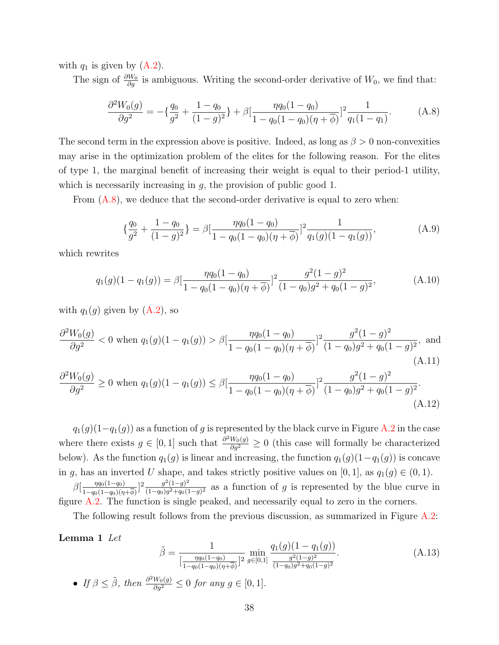with  $q_1$  is given by  $(A.2)$ .

The sign of  $\frac{\partial W_0}{\partial g}$  is ambiguous. Writing the second-order derivative of  $W_0$ , we find that:

$$
\frac{\partial^2 W_0(g)}{\partial g^2} = -\left\{\frac{q_0}{g^2} + \frac{1 - q_0}{(1 - g)^2}\right\} + \beta \left[\frac{\eta q_0 (1 - q_0)}{1 - q_0 (1 - q_0)(\eta + \overline{\phi})}\right]^2 \frac{1}{q_1 (1 - q_1)}.
$$
 (A.8)

The second term in the expression above is positive. Indeed, as long as  $\beta > 0$  non-convexities may arise in the optimization problem of the elites for the following reason. For the elites of type 1, the marginal benefit of increasing their weight is equal to their period-1 utility, which is necessarily increasing in  $q$ , the provision of public good 1.

From (A.8), we deduce that the second-order derivative is equal to zero when:

$$
\left\{\frac{q_0}{g^2} + \frac{1 - q_0}{(1 - g)^2}\right\} = \beta \left[\frac{\eta q_0 (1 - q_0)}{1 - q_0 (1 - q_0)(\eta + \overline{\phi})}\right]^2 \frac{1}{q_1(g)(1 - q_1(g))},\tag{A.9}
$$

which rewrites

$$
q_1(g)(1 - q_1(g)) = \beta \left[ \frac{\eta q_0(1 - q_0)}{1 - q_0(1 - q_0)(\eta + \overline{\phi})} \right]^2 \frac{g^2(1 - g)^2}{(1 - q_0)g^2 + q_0(1 - g)^2},
$$
(A.10)

with  $q_1(q)$  given by  $(A.2)$ , so

$$
\frac{\partial^2 W_0(g)}{\partial g^2} < 0 \text{ when } q_1(g)(1 - q_1(g)) > \beta \left[ \frac{\eta q_0(1 - q_0)}{1 - q_0(1 - q_0)(\eta + \overline{\phi})} \right]^2 \frac{g^2(1 - g)^2}{(1 - q_0)g^2 + q_0(1 - g)^2}, \text{ and} \tag{A.11}
$$

$$
\frac{\partial^2 W_0(g)}{\partial g^2} \ge 0 \text{ when } q_1(g)(1 - q_1(g)) \le \beta \left[ \frac{\eta q_0(1 - q_0)}{1 - q_0(1 - q_0)(\eta + \overline{\phi})} \right]^2 \frac{g^2(1 - g)^2}{(1 - q_0)g^2 + q_0(1 - g)^2}.
$$
\n(A.12)

 $q_1(g)(1-q_1(g))$  as a function of g is represented by the black curve in Figure A.2 in the case where there exists  $g \in [0, 1]$  such that  $\frac{\partial^2 W_0(g)}{\partial g^2} \geq 0$  (this case will formally be characterized below). As the function  $q_1(g)$  is linear and increasing, the function  $q_1(g)(1-q_1(g))$  is concave in g, has an inverted U shape, and takes strictly positive values on [0, 1], as  $q_1(g) \in (0, 1)$ .  $\beta\left[\frac{\eta q_0(1-q_0)}{1-\alpha(1-\alpha_0)(n)}\right]$  $\frac{\eta q_0(1-q_0)}{1-q_0(1-q_0)(\eta+\overline{\phi})}\Big]^2 \frac{g^2(1-g)^2}{(1-q_0)g^2+q_0(1-\overline{\phi})}$  $\frac{g^2(1-g)^2}{(1-q_0)g^2+q_0(1-g)^2}$  as a function of g is represented by the blue curve in

figure A.2. The function is single peaked, and necessarily equal to zero in the corners.

The following result follows from the previous discussion, as summarized in Figure A.2:

Lemma 1 Let

$$
\tilde{\beta} = \frac{1}{\left[\frac{\eta q_0(1-q_0)}{1-q_0(1-q_0)(\eta+\overline{\phi})}\right]^2} \min_{g \in [0,1]} \frac{q_1(g)(1-q_1(g))}{\frac{g^2(1-g)^2}{(1-q_0)g^2+q_0(1-g)^2}}.
$$
\n(A.13)

• If  $\beta \leq \tilde{\beta}$ , then  $\frac{\partial^2 W_0(g)}{\partial g^2} \leq 0$  for any  $g \in [0, 1]$ .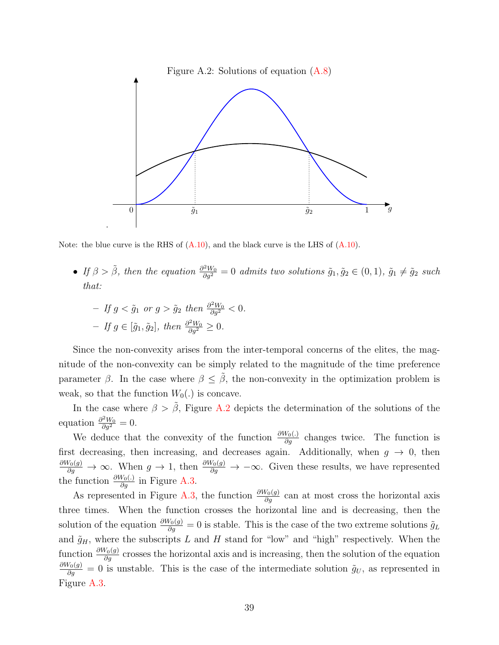

Note: the blue curve is the RHS of  $(A.10)$ , and the black curve is the LHS of  $(A.10)$ .

- If  $\beta > \tilde{\beta}$ , then the equation  $\frac{\partial^2 W_0}{\partial g^2} = 0$  admits two solutions  $\tilde{g}_1, \tilde{g}_2 \in (0, 1)$ ,  $\tilde{g}_1 \neq \tilde{g}_2$  such that:
	- $−$  If  $g < \tilde{g}_1$  or  $g > \tilde{g}_2$  then  $\frac{\partial^2 W_0}{\partial g^2} < 0$ .  $-If \, g \in [\tilde{g}_1, \tilde{g}_2], \text{ then } \frac{\partial^2 W_0}{\partial g^2} \geq 0.$

Since the non-convexity arises from the inter-temporal concerns of the elites, the magnitude of the non-convexity can be simply related to the magnitude of the time preference parameter  $\beta$ . In the case where  $\beta \leq \tilde{\beta}$ , the non-convexity in the optimization problem is weak, so that the function  $W_0(.)$  is concave.

In the case where  $\beta > \tilde{\beta}$ , Figure A.2 depicts the determination of the solutions of the equation  $\frac{\partial^2 W_0}{\partial g^2} = 0$ .

We deduce that the convexity of the function  $\frac{\partial W_0(.)}{\partial g}$  changes twice. The function is first decreasing, then increasing, and decreases again. Additionally, when  $g \to 0$ , then  $\frac{\partial W_0(g)}{\partial g} \to \infty$ . When  $g \to 1$ , then  $\frac{\partial W_0(g)}{\partial g} \to -\infty$ . Given these results, we have represented the function  $\frac{\partial W_0(.)}{\partial g}$  in Figure A.3.

As represented in Figure A.3, the function  $\frac{\partial W_0(g)}{\partial g}$  can at most cross the horizontal axis three times. When the function crosses the horizontal line and is decreasing, then the solution of the equation  $\frac{\partial W_0(g)}{\partial g} = 0$  is stable. This is the case of the two extreme solutions  $\tilde{g}_L$ and  $\tilde{g}_H$ , where the subscripts L and H stand for "low" and "high" respectively. When the function  $\frac{\partial W_0(g)}{\partial g}$  crosses the horizontal axis and is increasing, then the solution of the equation  $\frac{\partial W_0(g)}{\partial g} = 0$  is unstable. This is the case of the intermediate solution  $\tilde{g}_U$ , as represented in Figure A.3.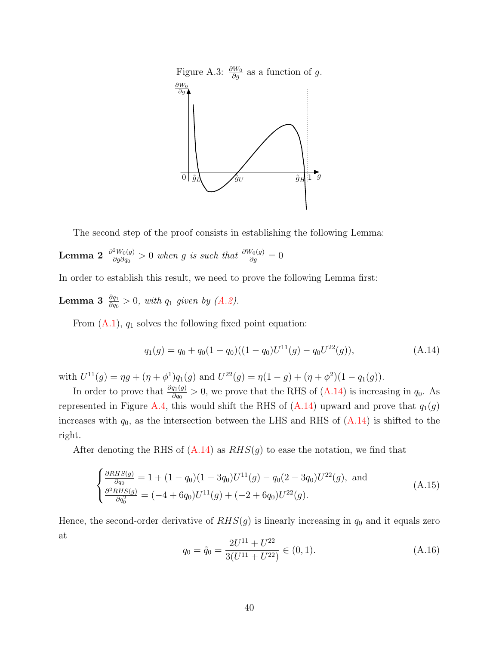



The second step of the proof consists in establishing the following Lemma:

Lemma 2  $\frac{\partial^2 W_0(g)}{\partial g \partial g_0}$  $\frac{\partial^2 W_0(g)}{\partial g \partial q_0} > 0$  when g is such that  $\frac{\partial W_0(g)}{\partial g} = 0$ 

In order to establish this result, we need to prove the following Lemma first:

**Lemma 3**  $\frac{\partial q_1}{\partial q_0} > 0$ , with  $q_1$  given by  $(A.2)$ .

From  $(A.1)$ ,  $q_1$  solves the following fixed point equation:

$$
q_1(g) = q_0 + q_0(1 - q_0)((1 - q_0)U^{11}(g) - q_0U^{22}(g)),
$$
\n(A.14)

with  $U^{11}(g) = \eta g + (\eta + \phi^1) q_1(g)$  and  $U^{22}(g) = \eta (1 - g) + (\eta + \phi^2) (1 - q_1(g))$ .

In order to prove that  $\frac{\partial q_1(g)}{\partial q_0} > 0$ , we prove that the RHS of (A.14) is increasing in  $q_0$ . As represented in Figure A.4, this would shift the RHS of  $(A.14)$  upward and prove that  $q_1(g)$ increases with  $q_0$ , as the intersection between the LHS and RHS of  $(A.14)$  is shifted to the right.

After denoting the RHS of  $(A.14)$  as  $RHS(g)$  to ease the notation, we find that

$$
\begin{cases} \frac{\partial RHS(g)}{\partial q_0} = 1 + (1 - q_0)(1 - 3q_0)U^{11}(g) - q_0(2 - 3q_0)U^{22}(g), \text{ and} \\ \frac{\partial^2 RHS(g)}{\partial q_0^2} = (-4 + 6q_0)U^{11}(g) + (-2 + 6q_0)U^{22}(g). \end{cases}
$$
(A.15)

Hence, the second-order derivative of  $RHS(g)$  is linearly increasing in  $q_0$  and it equals zero at

$$
q_0 = \tilde{q}_0 = \frac{2U^{11} + U^{22}}{3(U^{11} + U^{22})} \in (0, 1).
$$
 (A.16)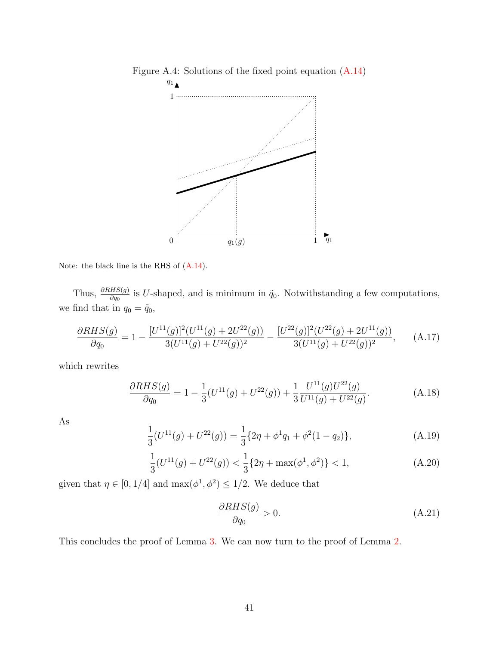

Note: the black line is the RHS of (A.14).

Thus,  $\frac{\partial RHS(g)}{\partial q_0}$  is U-shaped, and is minimum in  $\tilde{q}_0$ . Notwithstanding a few computations, we find that in  $q_0 = \tilde{q}_0$ ,

$$
\frac{\partial RHS(g)}{\partial q_0} = 1 - \frac{[U^{11}(g)]^2 (U^{11}(g) + 2U^{22}(g))}{3(U^{11}(g) + U^{22}(g))^2} - \frac{[U^{22}(g)]^2 (U^{22}(g) + 2U^{11}(g))}{3(U^{11}(g) + U^{22}(g))^2}, \tag{A.17}
$$

which rewrites

$$
\frac{\partial RHS(g)}{\partial q_0} = 1 - \frac{1}{3}(U^{11}(g) + U^{22}(g)) + \frac{1}{3}\frac{U^{11}(g)U^{22}(g)}{U^{11}(g) + U^{22}(g)}.
$$
\n(A.18)

As

$$
\frac{1}{3}(U^{11}(g) + U^{22}(g)) = \frac{1}{3}\{2\eta + \phi^1 q_1 + \phi^2 (1 - q_2)\},\tag{A.19}
$$

$$
\frac{1}{3}(U^{11}(g) + U^{22}(g)) < \frac{1}{3}\{2\eta + \max(\phi^1, \phi^2)\} < 1,\tag{A.20}
$$

given that  $\eta \in [0, 1/4]$  and  $\max(\phi^1, \phi^2) \le 1/2$ . We deduce that

$$
\frac{\partial RHS(g)}{\partial q_0} > 0. \tag{A.21}
$$

This concludes the proof of Lemma 3. We can now turn to the proof of Lemma 2.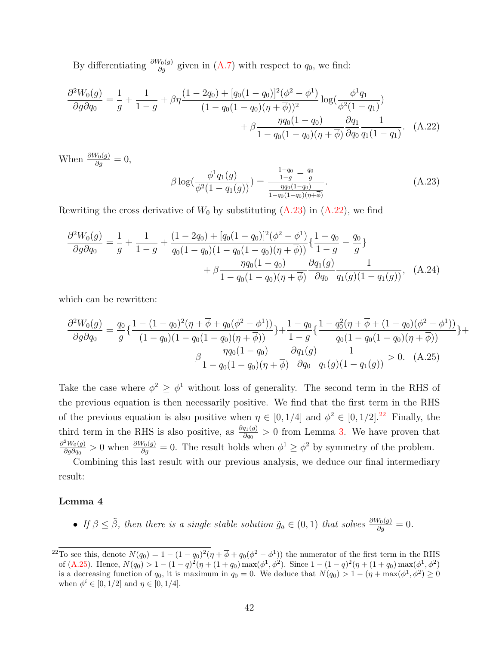By differentiating  $\frac{\partial W_0(g)}{\partial g}$  given in (A.7) with respect to  $q_0$ , we find:

$$
\frac{\partial^2 W_0(g)}{\partial g \partial q_0} = \frac{1}{g} + \frac{1}{1 - g} + \beta \eta \frac{(1 - 2q_0) + [q_0(1 - q_0)]^2 (\phi^2 - \phi^1)}{(1 - q_0(1 - q_0)(\eta + \overline{\phi}))^2} \log(\frac{\phi^1 q_1}{\phi^2 (1 - q_1)}) + \beta \frac{\eta q_0 (1 - q_0)}{1 - q_0(1 - q_0)(\eta + \overline{\phi})} \frac{\partial q_1}{\partial q_0} \frac{1}{q_1 (1 - q_1)}.
$$
(A.22)

When  $\frac{\partial W_0(g)}{\partial g} = 0$ ,

$$
\beta \log\left(\frac{\phi^1 q_1(g)}{\phi^2 (1 - q_1(g))}\right) = \frac{\frac{1 - q_0}{1 - g} - \frac{q_0}{g}}{\frac{\eta q_0 (1 - q_0)}{1 - q_0 (1 - q_0)(\eta + \overline{\phi})}}.
$$
\n(A.23)

Rewriting the cross derivative of  $W_0$  by substituting  $(A.23)$  in  $(A.22)$ , we find

$$
\frac{\partial^2 W_0(g)}{\partial g \partial q_0} = \frac{1}{g} + \frac{1}{1 - g} + \frac{(1 - 2q_0) + [q_0(1 - q_0)]^2 (\phi^2 - \phi^1)}{q_0(1 - q_0)(1 - q_0(1 - q_0)(\eta + \overline{\phi}))} \left\{ \frac{1 - q_0}{1 - g} - \frac{q_0}{g} \right\}
$$

$$
+ \beta \frac{\eta q_0 (1 - q_0)}{1 - q_0(1 - q_0)(\eta + \overline{\phi})} \frac{\partial q_1(g)}{\partial q_0} \frac{1}{q_1(g)(1 - q_1(g))}, \quad (A.24)
$$

which can be rewritten:

$$
\frac{\partial^2 W_0(g)}{\partial g \partial q_0} = \frac{q_0}{g} \left\{ \frac{1 - (1 - q_0)^2 (\eta + \overline{\phi} + q_0 (\phi^2 - \phi^1))}{(1 - q_0)(1 - q_0 (1 - q_0)(\eta + \overline{\phi}))} \right\} + \frac{1 - q_0}{1 - g} \left\{ \frac{1 - q_0^2 (\eta + \overline{\phi} + (1 - q_0)(\phi^2 - \phi^1))}{q_0 (1 - q_0 (1 - q_0)(\eta + \overline{\phi}))} \right\} + \frac{1 - q_0}{1 - q_0 (1 - q_0)(\eta + \overline{\phi})} \frac{\partial q_1(g)}{\partial q_0} \frac{1}{q_1(g)(1 - q_1(g))} > 0. \quad \text{(A.25)}
$$

Take the case where  $\phi^2 \geq \phi^1$  without loss of generality. The second term in the RHS of the previous equation is then necessarily positive. We find that the first term in the RHS of the previous equation is also positive when  $\eta \in [0, 1/4]$  and  $\phi^2 \in [0, 1/2]$ .<sup>22</sup> Finally, the third term in the RHS is also positive, as  $\frac{\partial q_1(g)}{\partial q_0} > 0$  from Lemma 3. We have proven that  $\partial^2 W_0(g)$  $\frac{\partial W_0(g)}{\partial g \partial q_0} > 0$  when  $\frac{\partial W_0(g)}{\partial g} = 0$ . The result holds when  $\phi^1 \ge \phi^2$  by symmetry of the problem.

Combining this last result with our previous analysis, we deduce our final intermediary result:

#### Lemma 4

• If  $\beta \leq \tilde{\beta}$ , then there is a single stable solution  $\tilde{g}_a \in (0,1)$  that solves  $\frac{\partial W_0(g)}{\partial g} = 0$ .

<sup>&</sup>lt;sup>22</sup>To see this, denote  $N(q_0) = 1 - (1 - q_0)^2 (\eta + \overline{\phi} + q_0 (\phi^2 - \phi^1))$  the numerator of the first term in the RHS of (A.25). Hence,  $N(q_0) > 1 - (1 - q)^2 (\eta + (1 + q_0) \max(\phi^1, \phi^2)$ . Since  $1 - (1 - q)^2 (\eta + (1 + q_0) \max(\phi^1, \phi^2)$ is a decreasing function of  $q_0$ , it is maximum in  $q_0 = 0$ . We deduce that  $N(q_0) > 1 - (\eta + \max(\phi^1, \phi^2) \ge 0$ when  $\phi^i \in [0, 1/2]$  and  $\eta \in [0, 1/4]$ .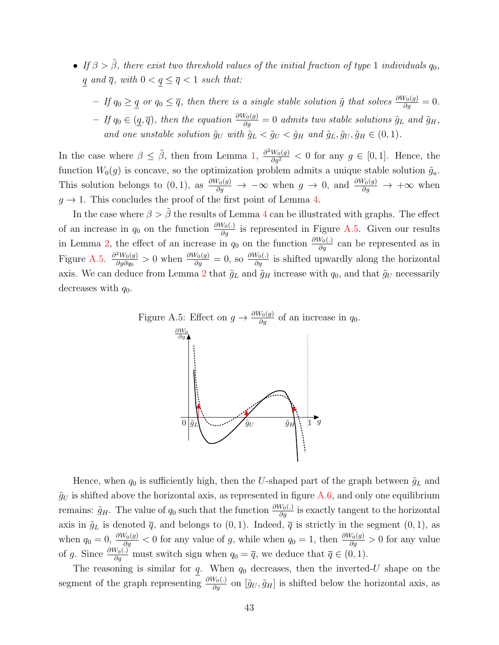- If  $\beta > \tilde{\beta}$ , there exist two threshold values of the initial fraction of type 1 individuals  $q_0$ , q and  $\overline{q}$ , with  $0 < q \leq \overline{q} < 1$  such that:
	- $-$  If  $q_0 \ge \underline{q}$  or  $q_0 \le \overline{q}$ , then there is a single stable solution  $\tilde{g}$  that solves  $\frac{\partial W_0(g)}{\partial g} = 0$ .  $−$  If  $q_0 \in (q, \overline{q})$ , then the equation  $\frac{\partial W_0(g)}{\partial g} = 0$  admits two stable solutions  $\tilde{g}_L$  and  $\tilde{g}_H$ , and one unstable solution  $\tilde{g}_U$  with  $\tilde{g}_L < \tilde{g}_U < \tilde{g}_H$  and  $\tilde{g}_L, \tilde{g}_U, \tilde{g}_H \in (0, 1)$ .

In the case where  $\beta \leq \tilde{\beta}$ , then from Lemma 1,  $\frac{\partial^2 W_0(g)}{\partial g^2} < 0$  for any  $g \in [0,1]$ . Hence, the function  $W_0(q)$  is concave, so the optimization problem admits a unique stable solution  $\tilde{g}_a$ . This solution belongs to  $(0, 1)$ , as  $\frac{\partial W_0(g)}{\partial g} \to -\infty$  when  $g \to 0$ , and  $\frac{\partial W_0(g)}{\partial g} \to +\infty$  when  $g \to 1$ . This concludes the proof of the first point of Lemma 4.

In the case where  $\beta > \tilde{\beta}$  the results of Lemma 4 can be illustrated with graphs. The effect of an increase in  $q_0$  on the function  $\frac{\partial W_0(.)}{\partial g}$  is represented in Figure A.5. Given our results in Lemma 2, the effect of an increase in  $q_0$  on the function  $\frac{\partial W_0(.)}{\partial g}$  can be represented as in Figure A.5.  $\frac{\partial^2 W_0(g)}{\partial g \partial g_0}$  $\frac{\partial W_0(g)}{\partial g \partial q_0} > 0$  when  $\frac{\partial W_0(g)}{\partial g} = 0$ , so  $\frac{\partial W_0(j)}{\partial g}$  is shifted upwardly along the horizontal axis. We can deduce from Lemma 2 that  $\tilde{g}_L$  and  $\tilde{g}_H$  increase with  $q_0$ , and that  $\tilde{g}_U$  necessarily decreases with  $q_0$ .



Hence, when  $q_0$  is sufficiently high, then the U-shaped part of the graph between  $\tilde{g}_L$  and  $\tilde{g}_U$  is shifted above the horizontal axis, as represented in figure A.6, and only one equilibrium remains:  $\tilde{g}_H$ . The value of  $q_0$  such that the function  $\frac{\partial W_0(.)}{\partial g}$  is exactly tangent to the horizontal axis in  $\tilde{g}_L$  is denoted  $\bar{q}$ , and belongs to  $(0, 1)$ . Indeed,  $\bar{q}$  is strictly in the segment  $(0, 1)$ , as when  $q_0 = 0$ ,  $\frac{\partial W_0(g)}{\partial g} < 0$  for any value of g, while when  $q_0 = 1$ , then  $\frac{\partial W_0(g)}{\partial g} > 0$  for any value of g. Since  $\frac{\partial W_0(.)}{\partial g}$  must switch sign when  $q_0 = \overline{q}$ , we deduce that  $\overline{q} \in (0, 1)$ .

The reasoning is similar for  $q$ . When  $q_0$  decreases, then the inverted-U shape on the segment of the graph representing  $\frac{\partial W_0(j)}{\partial g}$  on  $[\tilde{g}_U, \tilde{g}_H]$  is shifted below the horizontal axis, as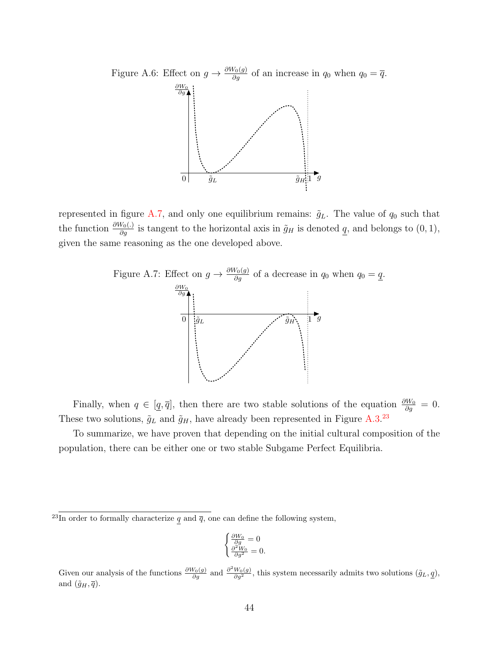

represented in figure A.7, and only one equilibrium remains:  $\tilde{g}_L$ . The value of  $q_0$  such that the function  $\frac{\partial W_0(j)}{\partial g}$  is tangent to the horizontal axis in  $\tilde{g}_H$  is denoted  $\underline{q}$ , and belongs to  $(0, 1)$ , given the same reasoning as the one developed above.





Finally, when  $q \in [q, \overline{q}]$ , then there are two stable solutions of the equation  $\frac{\partial W_0}{\partial g} = 0$ . These two solutions,  $\tilde{g}_L$  and  $\tilde{g}_H$ , have already been represented in Figure A.3.<sup>23</sup>

To summarize, we have proven that depending on the initial cultural composition of the population, there can be either one or two stable Subgame Perfect Equilibria.

$$
\begin{cases} \frac{\partial W_0}{\partial g} = 0\\ \frac{\partial^2 W_0}{\partial g^2} = 0. \end{cases}
$$

<sup>&</sup>lt;sup>23</sup>In order to formally characterize q and  $\overline{q}$ , one can define the following system,

Given our analysis of the functions  $\frac{\partial W_0(g)}{\partial g}$  and  $\frac{\partial^2 W_0(g)}{\partial g^2}$ , this system necessarily admits two solutions  $(\tilde{g}_L, \underline{q})$ , and  $(\tilde{g}_H, \overline{q})$ .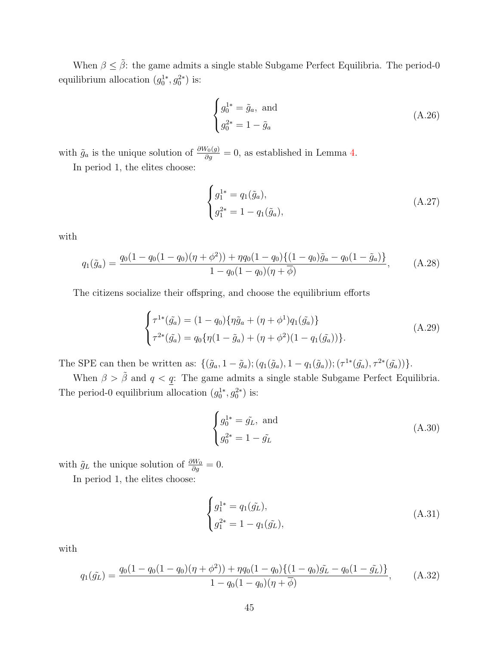When  $\beta \leq \tilde{\beta}$ : the game admits a single stable Subgame Perfect Equilibria. The period-0 equilibrium allocation  $(g_0^{1*}, g_0^{2*})$  is:

$$
\begin{cases}\ng_0^{1*} = \tilde{g}_a, \text{ and} \\
g_0^{2*} = 1 - \tilde{g}_a\n\end{cases} \tag{A.26}
$$

with  $\tilde{g}_a$  is the unique solution of  $\frac{\partial W_0(g)}{\partial g} = 0$ , as established in Lemma 4. In period 1, the elites choose:

$$
\begin{cases}\n g_1^{1*} = q_1(\tilde{g}_a), \\
 g_1^{2*} = 1 - q_1(\tilde{g}_a),\n\end{cases} \tag{A.27}
$$

with

$$
q_1(\tilde{g}_a) = \frac{q_0(1 - q_0(1 - q_0)(\eta + \phi^2)) + \eta q_0(1 - q_0)\{(1 - q_0)\tilde{g}_a - q_0(1 - \tilde{g}_a)\}}{1 - q_0(1 - q_0)(\eta + \overline{\phi})},
$$
 (A.28)

The citizens socialize their offspring, and choose the equilibrium efforts

$$
\begin{cases}\n\tau^{1*}(\tilde{g}_a) = (1 - q_0) \{ \eta \tilde{g}_a + (\eta + \phi^1) q_1(\tilde{g}_a) \} \\
\tau^{2*}(\tilde{g}_a) = q_0 \{ \eta (1 - \tilde{g}_a) + (\eta + \phi^2) (1 - q_1(\tilde{g}_a)) \}.\n\end{cases} \tag{A.29}
$$

The SPE can then be written as:  $\{(\tilde{g}_a, 1 - \tilde{g}_a); (q_1(\tilde{g}_a), 1 - q_1(\tilde{g}_a)); (\tau^{1*}(\tilde{g}_a), \tau^{2*}(\tilde{g}_a))\}.$ 

When  $\beta > \tilde{\beta}$  and  $q < q$ : The game admits a single stable Subgame Perfect Equilibria. The period-0 equilibrium allocation  $(g_0^{1*}, g_0^{2*})$  is:

$$
\begin{cases}\ng_0^{1*} = \tilde{g}_L, \text{ and} \\
g_0^{2*} = 1 - \tilde{g}_L\n\end{cases} \tag{A.30}
$$

with  $\tilde{g}_L$  the unique solution of  $\frac{\partial W_0}{\partial g} = 0$ .

In period 1, the elites choose:

$$
\begin{cases}\ng_1^{1*} = q_1(\tilde{g_L}), \\
g_1^{2*} = 1 - q_1(\tilde{g_L}),\n\end{cases} \tag{A.31}
$$

with

$$
q_1(\tilde{g_L}) = \frac{q_0(1 - q_0(1 - q_0)(\eta + \phi^2)) + \eta q_0(1 - q_0)\{(1 - q_0)\tilde{g_L} - q_0(1 - \tilde{g_L})\}}{1 - q_0(1 - q_0)(\eta + \overline{\phi})},
$$
 (A.32)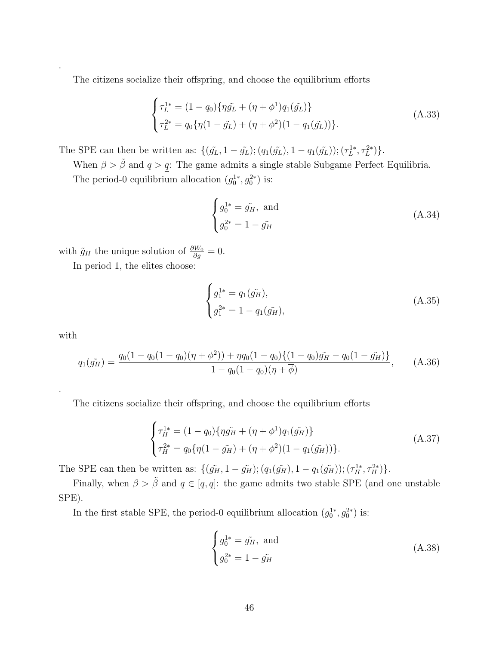The citizens socialize their offspring, and choose the equilibrium efforts

$$
\begin{cases}\n\tau_L^{1*} = (1 - q_0) \{ \eta \tilde{g}_L + (\eta + \phi^1) q_1(\tilde{g}_L) \} \\
\tau_L^{2*} = q_0 \{ \eta (1 - \tilde{g}_L) + (\eta + \phi^2) (1 - q_1(\tilde{g}_L)) \}.\n\end{cases} \tag{A.33}
$$

The SPE can then be written as:  $\{(\tilde{g}_L, 1 - \tilde{g}_L); (q_1(\tilde{g}_L), 1 - q_1(\tilde{g}_L)); (\tau_L^{1*}, \tau_L^{2*})\}.$ 

When  $\beta > \tilde{\beta}$  and  $q > q$ : The game admits a single stable Subgame Perfect Equilibria. The period-0 equilibrium allocation  $(g_0^{1*}, g_0^{2*})$  is:

$$
\begin{cases}\ng_0^{1*} = \tilde{g_H}, \text{ and} \\
g_0^{2*} = 1 - \tilde{g_H}\n\end{cases} \tag{A.34}
$$

with  $\tilde{g}_H$  the unique solution of  $\frac{\partial W_0}{\partial g} = 0$ .

In period 1, the elites choose:

$$
\begin{cases}\ng_1^{1*} = q_1(\tilde{g_H}), \\
g_1^{2*} = 1 - q_1(\tilde{g_H}),\n\end{cases} \tag{A.35}
$$

with

.

.

$$
q_1(\tilde{g_H}) = \frac{q_0(1 - q_0(1 - q_0)(\eta + \phi^2)) + \eta q_0(1 - q_0)\{(1 - q_0)\tilde{g_H} - q_0(1 - \tilde{g_H})\}}{1 - q_0(1 - q_0)(\eta + \overline{\phi})},
$$
 (A.36)

The citizens socialize their offspring, and choose the equilibrium efforts

$$
\begin{cases}\n\tau_H^{1*} = (1 - q_0) \{ \eta \tilde{g}_H + (\eta + \phi^1) q_1(\tilde{g}_H) \} \\
\tau_H^{2*} = q_0 \{ \eta (1 - \tilde{g}_H) + (\eta + \phi^2) (1 - q_1(\tilde{g}_H)) \}.\n\end{cases} \tag{A.37}
$$

The SPE can then be written as:  $\{(\tilde{g_H}, 1 - \tilde{g_H}); (q_1(\tilde{g_H}), 1 - q_1(\tilde{g_H})); (\tau_H^{1*}, \tau_H^{2*})\}.$ 

Finally, when  $\beta > \tilde{\beta}$  and  $q \in [\underline{q}, \overline{q}]$ : the game admits two stable SPE (and one unstable SPE).

In the first stable SPE, the period-0 equilibrium allocation  $(g_0^{1*}, g_0^{2*})$  is:

$$
\begin{cases}\ng_0^{1*} = \tilde{g_H}, \text{ and} \\
g_0^{2*} = 1 - \tilde{g_H}\n\end{cases} \tag{A.38}
$$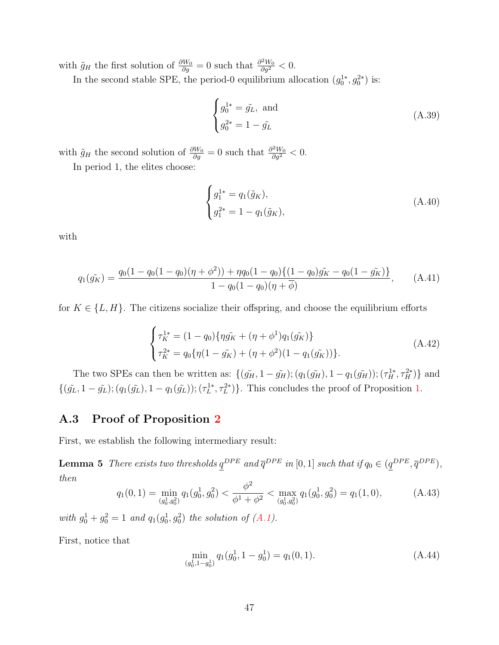with  $\tilde{g}_H$  the first solution of  $\frac{\partial W_0}{\partial g} = 0$  such that  $\frac{\partial^2 W_0}{\partial g^2} < 0$ .

In the second stable SPE, the period-0 equilibrium allocation  $(g_0^{1*}, g_0^{2*})$  is:

$$
\begin{cases}\ng_0^{1*} = \tilde{g}_L, \text{ and} \\
g_0^{2*} = 1 - \tilde{g}_L\n\end{cases} \tag{A.39}
$$

with  $\tilde{g}_H$  the second solution of  $\frac{\partial W_0}{\partial g} = 0$  such that  $\frac{\partial^2 W_0}{\partial g^2} < 0$ . In period 1, the elites choose:

$$
\begin{cases}\ng_1^{1*} = q_1(\tilde{g}_K), \\
g_1^{2*} = 1 - q_1(\tilde{g}_K),\n\end{cases} \tag{A.40}
$$

with

$$
q_1(\tilde{g_K}) = \frac{q_0(1 - q_0(1 - q_0)(\eta + \phi^2)) + \eta q_0(1 - q_0)\{(1 - q_0)\tilde{g_K} - q_0(1 - \tilde{g_K})\}}{1 - q_0(1 - q_0)(\eta + \overline{\phi})},
$$
 (A.41)

for  $K \in \{L, H\}$ . The citizens socialize their offspring, and choose the equilibrium efforts

$$
\begin{cases}\n\tau_K^{1*} = (1 - q_0) \{ \eta \tilde{g}_K + (\eta + \phi^1) q_1(\tilde{g}_K) \} \\
\tau_K^{2*} = q_0 \{ \eta (1 - \tilde{g}_K) + (\eta + \phi^2) (1 - q_1(\tilde{g}_K)) \}.\n\end{cases} \tag{A.42}
$$

The two SPEs can then be written as:  $\{(\tilde{g_H}, 1 - \tilde{g_H}); (q_1(\tilde{g_H}), 1 - q_1(\tilde{g_H})); (\tau_H^{1*}, \tau_H^{2*})\}$  and  $\{(\tilde{g}_L, 1 - \tilde{g}_L); (q_1(\tilde{g}_L), 1 - q_1(\tilde{g}_L)); (\tau_L^{1*}, \tau_L^{2*})\}.$  This concludes the proof of Proposition 1.

### A.3 Proof of Proposition 2

First, we establish the following intermediary result:

**Lemma 5** There exists two thresholds  $q^{DPE}$  and  $\overline{q}^{DPE}$  in [0, 1] such that if  $q_0 \in (q^{DPE}, \overline{q}^{DPE})$ , then

$$
q_1(0,1) = \min_{(g_0^1, g_0^2)} q_1(g_0^1, g_0^2) < \frac{\phi^2}{\phi^1 + \phi^2} < \max_{(g_0^1, g_0^2)} q_1(g_0^1, g_0^2) = q_1(1,0), \tag{A.43}
$$

with  $g_0^1 + g_0^2 = 1$  and  $q_1(g_0^1, g_0^2)$  the solution of  $(A.1)$ .

First, notice that

$$
\min_{(g_0^1, 1-g_0^1)} q_1(g_0^1, 1-g_0^1) = q_1(0, 1). \tag{A.44}
$$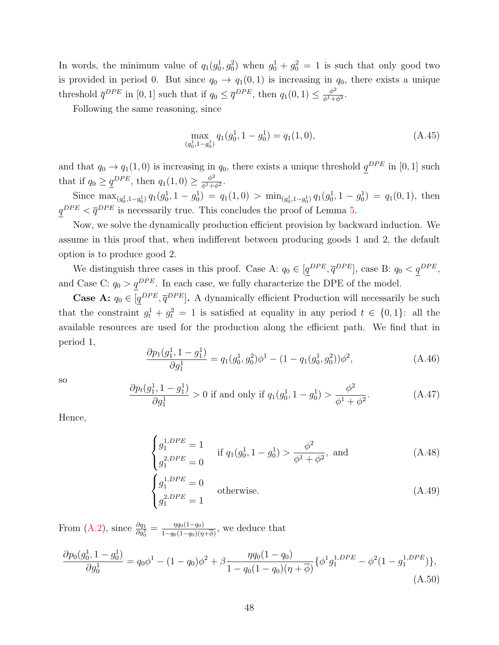In words, the minimum value of  $q_1(q_0^1, g_0^2)$  when  $g_0^1 + g_0^2 = 1$  is such that only good two is provided in period 0. But since  $q_0 \to q_1(0, 1)$  is increasing in  $q_0$ , there exists a unique threshold  $\overline{q}^{DPE}$  in [0, 1] such that if  $q_0 \leq \overline{q}^{DPE}$ , then  $q_1(0, 1) \leq \frac{\phi^2}{\phi^4 + 1}$  $\frac{\phi^2}{\phi^1+\phi^2}$ .

Following the same reasoning, since

$$
\max_{(g_0^1, 1-g_0^1)} q_1(g_0^1, 1-g_0^1) = q_1(1,0),\tag{A.45}
$$

and that  $q_0 \to q_1(1,0)$  is increasing in  $q_0$ , there exists a unique threshold  $q^{DPE}$  in [0, 1] such that if  $q_0 \ge \underline{q}^{DPE}$ , then  $q_1(1,0) \ge \frac{\phi^2}{\phi^1 + 1}$  $\frac{\phi^2}{\phi^1+\phi^2}$ .

Since  $\max_{(g_0^1, 1-g_0^1)} q_1(g_0^1, 1-g_0^1) = q_1(1,0) > \min_{(g_0^1, 1-g_0^1)} q_1(g_0^1, 1-g_0^1) = q_1(0,1)$ , then  $q^{DPE} < \overline{q}^{DPE}$  is necessarily true. This concludes the proof of Lemma 5.

Now, we solve the dynamically production efficient provision by backward induction. We assume in this proof that, when indifferent between producing goods 1 and 2, the default option is to produce good 2.

We distinguish three cases in this proof. Case A:  $q_0 \in [\underline{q}^{DPE}, \overline{q}^{DPE}]$ , case B:  $q_0 < \underline{q}^{DPE}$ , and Case C:  $q_0 > q^{DPE}$ . In each case, we fully characterize the DPE of the model.

**Case A:**  $q_0 \in [\underline{q}^{DPE}, \overline{q}^{DPE}]$ . A dynamically efficient Production will necessarily be such that the constraint  $g_t^1 + g_t^2 = 1$  is satisfied at equality in any period  $t \in \{0, 1\}$ : all the available resources are used for the production along the efficient path. We find that in period 1,

$$
\frac{\partial p_1(g_1^1, 1 - g_1^1)}{\partial g_1^1} = q_1(g_0^1, g_0^2)\phi^1 - (1 - q_1(g_0^1, g_0^2))\phi^2,\tag{A.46}
$$

so

$$
\frac{\partial p_t(g_1^1, 1 - g_1^1)}{\partial g_1^1} > 0 \text{ if and only if } q_1(g_0^1, 1 - g_0^1) > \frac{\phi^2}{\phi^1 + \phi^2}.
$$
 (A.47)

Hence,

$$
\begin{cases}\ng_1^{1, DPE} = 1 & \text{if } q_1(g_0^1, 1 - g_0^1) > \frac{\phi^2}{\phi^1 + \phi^2}, \text{ and} \\
g_1^{2, DPE} = 0 & \text{(A.48)}\n\end{cases}
$$

$$
\begin{cases}\ng_1^{1, DPE} = 0 \\
g_1^{2, DPE} = 1\n\end{cases}
$$
 otherwise. (A.49)

From (A.2), since  $\frac{\partial q_1}{\partial g_0^1} = \frac{\eta q_0 (1 - q_0)}{1 - q_0 (1 - q_0) (\eta)}$  $\frac{\eta q_0(1-q_0)}{1-q_0(1-q_0)(\eta+\overline{\phi})}$ , we deduce that

$$
\frac{\partial p_0(g_0^1, 1 - g_0^1)}{\partial g_0^1} = q_0 \phi^1 - (1 - q_0) \phi^2 + \beta \frac{\eta q_0 (1 - q_0)}{1 - q_0 (1 - q_0) (\eta + \overline{\phi})} \{ \phi^1 g_1^{1, DPE} - \phi^2 (1 - g_1^{1, DPE}) \},\tag{A.50}
$$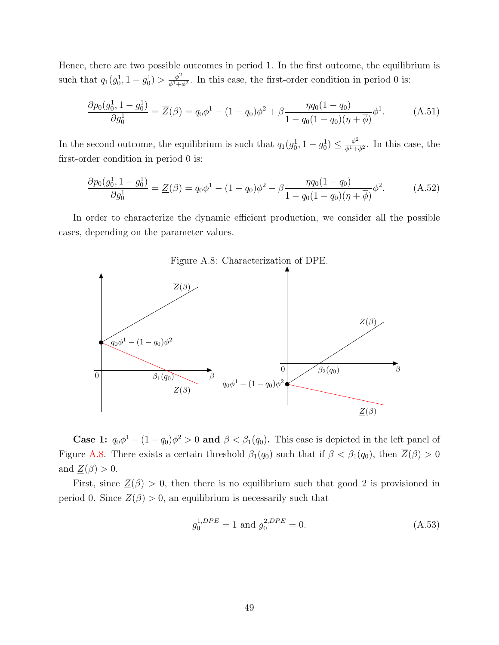Hence, there are two possible outcomes in period 1. In the first outcome, the equilibrium is such that  $q_1(g_0^1, 1-g_0^1) > \frac{\phi^2}{\phi^1 + \phi^2}$  $\frac{\phi^2}{\phi^1+\phi^2}$ . In this case, the first-order condition in period 0 is:

$$
\frac{\partial p_0(g_0^1, 1 - g_0^1)}{\partial g_0^1} = \overline{Z}(\beta) = q_0 \phi^1 - (1 - q_0) \phi^2 + \beta \frac{\eta q_0 (1 - q_0)}{1 - q_0 (1 - q_0) (\eta + \overline{\phi})} \phi^1.
$$
 (A.51)

In the second outcome, the equilibrium is such that  $q_1(q_0^1, 1 - q_0^1) \leq \frac{\phi^2}{\phi^1 + \phi^2}$  $\frac{\phi^2}{\phi^1+\phi^2}$ . In this case, the first-order condition in period 0 is:

$$
\frac{\partial p_0(g_0^1, 1 - g_0^1)}{\partial g_0^1} = \underline{Z}(\beta) = q_0 \phi^1 - (1 - q_0) \phi^2 - \beta \frac{\eta q_0 (1 - q_0)}{1 - q_0 (1 - q_0) (\eta + \overline{\phi})} \phi^2.
$$
 (A.52)

In order to characterize the dynamic efficient production, we consider all the possible cases, depending on the parameter values.



**Case 1:**  $q_0\phi^1 - (1 - q_0)\phi^2 > 0$  and  $\beta < \beta_1(q_0)$ . This case is depicted in the left panel of Figure A.8. There exists a certain threshold  $\beta_1(q_0)$  such that if  $\beta < \beta_1(q_0)$ , then  $\overline{Z}(\beta) > 0$ and  $\underline{Z}(\beta) > 0$ .

First, since  $\underline{Z}(\beta) > 0$ , then there is no equilibrium such that good 2 is provisioned in period 0. Since  $\overline{Z}(\beta) > 0$ , an equilibrium is necessarily such that

$$
g_0^{1, DPE} = 1 \text{ and } g_0^{2, DPE} = 0. \tag{A.53}
$$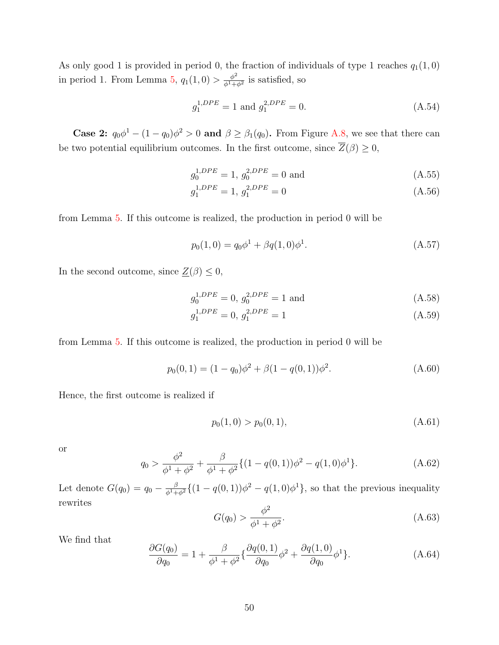As only good 1 is provided in period 0, the fraction of individuals of type 1 reaches  $q_1(1,0)$ in period 1. From Lemma 5,  $q_1(1,0) > \frac{\phi^2}{\phi^1+\phi^2}$  $\frac{\phi^2}{\phi^1+\phi^2}$  is satisfied, so

$$
g_1^{1, DPE} = 1 \text{ and } g_1^{2, DPE} = 0. \tag{A.54}
$$

**Case 2:**  $q_0\phi^1 - (1 - q_0)\phi^2 > 0$  and  $\beta \ge \beta_1(q_0)$ . From Figure A.8, we see that there can be two potential equilibrium outcomes. In the first outcome, since  $\overline{Z}(\beta)\geq 0,$ 

$$
g_0^{1, DPE} = 1, g_0^{2, DPE} = 0 \text{ and} \tag{A.55}
$$

$$
g_1^{1, DPE} = 1, g_1^{2, DPE} = 0 \tag{A.56}
$$

from Lemma 5. If this outcome is realized, the production in period 0 will be

$$
p_0(1,0) = q_0 \phi^1 + \beta q(1,0)\phi^1.
$$
\n(A.57)

In the second outcome, since  $\underline{Z}(\beta) \leq 0$ ,

$$
g_0^{1, DPE} = 0, g_0^{2, DPE} = 1 \text{ and} \tag{A.58}
$$

$$
g_1^{1, DPE} = 0, \, g_1^{2, DPE} = 1 \tag{A.59}
$$

from Lemma 5. If this outcome is realized, the production in period 0 will be

$$
p_0(0,1) = (1 - q_0)\phi^2 + \beta(1 - q(0,1))\phi^2.
$$
 (A.60)

Hence, the first outcome is realized if

$$
p_0(1,0) > p_0(0,1), \tag{A.61}
$$

or

$$
q_0 > \frac{\phi^2}{\phi^1 + \phi^2} + \frac{\beta}{\phi^1 + \phi^2} \{ (1 - q(0, 1))\phi^2 - q(1, 0)\phi^1 \}. \tag{A.62}
$$

Let denote  $G(q_0) = q_0 - \frac{\beta}{\phi^1 + \phi^2} \{ (1 - q(0, 1))\phi^2 - q(1, 0)\phi^1 \}$ , so that the previous inequality rewrites

$$
G(q_0) > \frac{\phi^2}{\phi^1 + \phi^2}.
$$
\n(A.63)

We find that

$$
\frac{\partial G(q_0)}{\partial q_0} = 1 + \frac{\beta}{\phi^1 + \phi^2} \{ \frac{\partial q(0,1)}{\partial q_0} \phi^2 + \frac{\partial q(1,0)}{\partial q_0} \phi^1 \}. \tag{A.64}
$$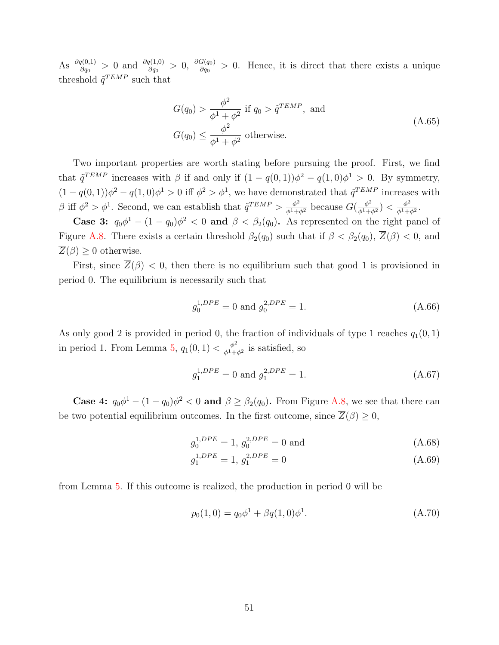As  $\frac{\partial q(0,1)}{\partial q_0} > 0$  and  $\frac{\partial q(1,0)}{\partial q_0} > 0$ ,  $\frac{\partial G(q_0)}{\partial q_0} > 0$ . Hence, it is direct that there exists a unique threshold  $\tilde{q}^{TEMP}$  such that

$$
G(q_0) > \frac{\phi^2}{\phi^1 + \phi^2}
$$
 if  $q_0 > \tilde{q}^{TEMP}$ , and  

$$
G(q_0) \le \frac{\phi^2}{\phi^1 + \phi^2}
$$
 otherwise. (A.65)

Two important properties are worth stating before pursuing the proof. First, we find that  $ilde{q}^{TEMP}$  increases with  $\beta$  if and only if  $(1 - q(0, 1))\phi^2 - q(1, 0)\phi^1 > 0$ . By symmetry,  $(1-q(0,1))\phi^2 - q(1,0)\phi^1 > 0$  iff  $\phi^2 > \phi^1$ , we have demonstrated that  $\tilde{q}^{TEMP}$  increases with β iff  $\phi^2 > \phi^1$ . Second, we can establish that  $ilde{q}^{TEMP} > \frac{\phi^2}{\phi^1 + \phi^2}$  because  $G(\frac{\phi^2}{\phi^1 + \phi^2}) < \frac{\phi^2}{\phi^1 + \phi^2}$  $\frac{\phi^2}{\phi^1+\phi^2}$  .

**Case 3:**  $q_0\phi^1 - (1 - q_0)\phi^2 < 0$  and  $\beta < \beta_2(q_0)$ . As represented on the right panel of Figure A.8. There exists a certain threshold  $\beta_2(q_0)$  such that if  $\beta < \beta_2(q_0)$ ,  $\overline{Z}(\beta) < 0$ , and  $\overline{Z}(\beta) \geq 0$  otherwise.

First, since  $\overline{Z}(\beta) < 0$ , then there is no equilibrium such that good 1 is provisioned in period 0. The equilibrium is necessarily such that

$$
g_0^{1, DPE} = 0 \text{ and } g_0^{2, DPE} = 1. \tag{A.66}
$$

As only good 2 is provided in period 0, the fraction of individuals of type 1 reaches  $q_1(0,1)$ in period 1. From Lemma 5,  $q_1(0,1) < \frac{\phi^2}{\phi^1+\phi^2}$  $\frac{\phi^2}{\phi^1+\phi^2}$  is satisfied, so

$$
g_1^{1, DPE} = 0 \text{ and } g_1^{2, DPE} = 1. \tag{A.67}
$$

**Case 4:**  $q_0\phi^1 - (1 - q_0)\phi^2 < 0$  and  $\beta \ge \beta_2(q_0)$ . From Figure A.8, we see that there can be two potential equilibrium outcomes. In the first outcome, since  $\overline{Z}(\beta) \geq 0$ ,

$$
g_0^{1, DPE} = 1, g_0^{2, DPE} = 0 \text{ and} \tag{A.68}
$$

$$
g_1^{1, DPE} = 1, g_1^{2, DPE} = 0 \tag{A.69}
$$

from Lemma 5. If this outcome is realized, the production in period 0 will be

$$
p_0(1,0) = q_0 \phi^1 + \beta q(1,0)\phi^1.
$$
\n(A.70)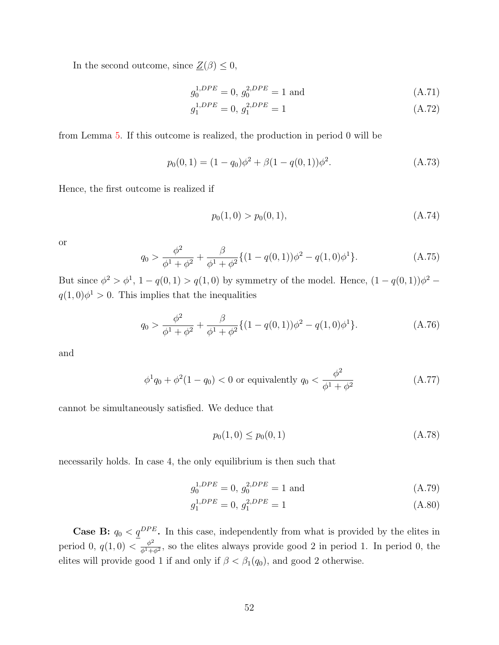In the second outcome, since  $\underline{Z}(\beta) \leq 0$ ,

$$
g_0^{1, DPE} = 0, \, g_0^{2, DPE} = 1 \text{ and} \tag{A.71}
$$

$$
g_1^{1, DPE} = 0, g_1^{2, DPE} = 1 \tag{A.72}
$$

from Lemma 5. If this outcome is realized, the production in period 0 will be

$$
p_0(0,1) = (1 - q_0)\phi^2 + \beta(1 - q(0,1))\phi^2.
$$
 (A.73)

Hence, the first outcome is realized if

$$
p_0(1,0) > p_0(0,1), \tag{A.74}
$$

or

$$
q_0 > \frac{\phi^2}{\phi^1 + \phi^2} + \frac{\beta}{\phi^1 + \phi^2} \{ (1 - q(0, 1))\phi^2 - q(1, 0)\phi^1 \}. \tag{A.75}
$$

But since  $\phi^2 > \phi^1$ ,  $1 - q(0, 1) > q(1, 0)$  by symmetry of the model. Hence,  $(1 - q(0, 1))\phi^2$  –  $q(1,0)\phi^1 > 0$ . This implies that the inequalities

$$
q_0 > \frac{\phi^2}{\phi^1 + \phi^2} + \frac{\beta}{\phi^1 + \phi^2} \{ (1 - q(0, 1))\phi^2 - q(1, 0)\phi^1 \}. \tag{A.76}
$$

and

$$
\phi^1 q_0 + \phi^2 (1 - q_0) < 0
$$
 or equivalently  $q_0 < \frac{\phi^2}{\phi^1 + \phi^2}$  (A.77)

cannot be simultaneously satisfied. We deduce that

$$
p_0(1,0) \le p_0(0,1) \tag{A.78}
$$

necessarily holds. In case 4, the only equilibrium is then such that

$$
g_0^{1, DPE} = 0, g_0^{2, DPE} = 1 \text{ and} \tag{A.79}
$$

$$
g_1^{1, DPE} = 0, g_1^{2, DPE} = 1
$$
\n(A.80)

**Case B:**  $q_0 < \underline{q}^{DPE}$ . In this case, independently from what is provided by the elites in period 0,  $q(1,0) < \frac{\phi^2}{\phi^{1}+1}$  $\frac{\phi^2}{\phi^1+\phi^2}$ , so the elites always provide good 2 in period 1. In period 0, the elites will provide good 1 if and only if  $\beta < \beta_1(q_0)$ , and good 2 otherwise.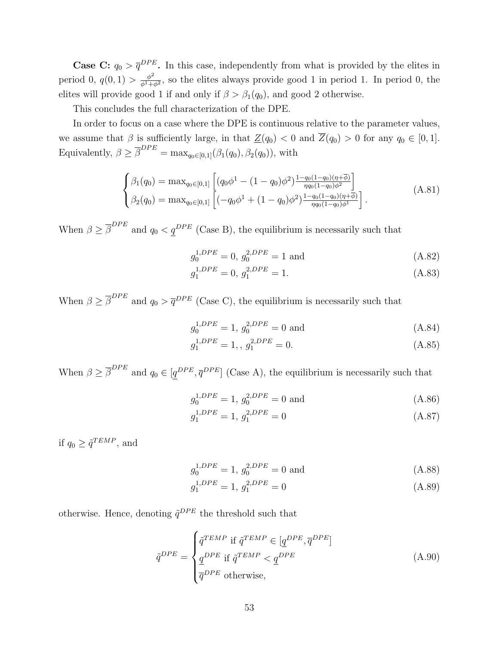**Case C:**  $q_0 > \bar{q}^{DPE}$ . In this case, independently from what is provided by the elites in period 0,  $q(0, 1) > \frac{\phi^2}{\phi^{1}+1}$  $\frac{\phi^2}{\phi^1+\phi^2}$ , so the elites always provide good 1 in period 1. In period 0, the elites will provide good 1 if and only if  $\beta > \beta_1(q_0)$ , and good 2 otherwise.

This concludes the full characterization of the DPE.

In order to focus on a case where the DPE is continuous relative to the parameter values, we assume that  $\beta$  is sufficiently large, in that  $Z(q_0) < 0$  and  $\overline{Z}(q_0) > 0$  for any  $q_0 \in [0, 1]$ . Equivalently,  $\beta \geq \overline{\beta}^{DPE} = \max_{q_0 \in [0,1]} (\beta_1(q_0), \beta_2(q_0)),$  with

$$
\begin{cases}\n\beta_1(q_0) = \max_{q_0 \in [0,1]} \left[ (q_0 \phi^1 - (1 - q_0) \phi^2) \frac{1 - q_0 (1 - q_0)(\eta + \overline{\phi})}{\eta q_0 (1 - q_0) \phi^2} \right] \\
\beta_2(q_0) = \max_{q_0 \in [0,1]} \left[ (-q_0 \phi^1 + (1 - q_0) \phi^2) \frac{1 - q_0 (1 - q_0)(\eta + \overline{\phi})}{\eta q_0 (1 - q_0) \phi^1} \right].\n\end{cases} (A.81)
$$

When  $\beta \geq \overline{\beta}^{DPE}$  and  $q_0 < \underline{q}^{DPE}$  (Case B), the equilibrium is necessarily such that

$$
g_0^{1, DPE} = 0, g_0^{2, DPE} = 1 \text{ and} \tag{A.82}
$$

$$
g_1^{1, DPE} = 0, g_1^{2, DPE} = 1.
$$
\n(A.83)

When  $\beta \geq \overline{\beta}^{DPE}$  and  $q_0 > \overline{q}^{DPE}$  (Case C), the equilibrium is necessarily such that

$$
g_0^{1, DPE} = 1, g_0^{2, DPE} = 0 \text{ and} \tag{A.84}
$$

$$
g_1^{1, DPE} = 1, \, g_1^{2, DPE} = 0. \tag{A.85}
$$

When  $\beta \geq \overline{\beta}^{DPE}$  and  $q_0 \in [\underline{q}^{DPE}, \overline{q}^{DPE}]$  (Case A), the equilibrium is necessarily such that

$$
g_0^{1, DPE} = 1, g_0^{2, DPE} = 0 \text{ and} \tag{A.86}
$$

$$
g_1^{1, DPE} = 1, g_1^{2, DPE} = 0 \tag{A.87}
$$

if  $q_0 \geq \tilde{q}^{TEMP}$ , and

$$
g_0^{1, DPE} = 1, g_0^{2, DPE} = 0 \text{ and} \tag{A.88}
$$

$$
g_1^{1, DPE} = 1, g_1^{2, DPE} = 0 \tag{A.89}
$$

otherwise. Hence, denoting  $\tilde{q}^{DPE}$  the threshold such that

$$
\tilde{q}^{DPE} = \begin{cases}\n\tilde{q}^{TEMP} & \text{if } \tilde{q}^{TEMP} \in [\underline{q}^{DPE}, \overline{q}^{DPE}] \\
\underline{q}^{DPE} & \text{if } \tilde{q}^{TEMP} < \underline{q}^{DPE} \\
\overline{q}^{DPE} & \text{otherwise,}\n\end{cases} \tag{A.90}
$$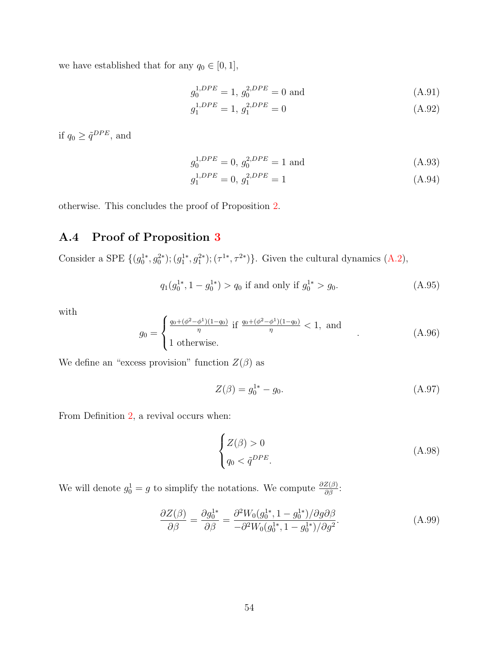we have established that for any  $q_0 \in [0, 1]$ ,

$$
g_0^{1, DPE} = 1, g_0^{2, DPE} = 0 \text{ and} \tag{A.91}
$$

$$
g_1^{1, DPE} = 1, g_1^{2, DPE} = 0 \tag{A.92}
$$

if  $q_0 \geq \tilde{q}^{DPE}$ , and

$$
g_0^{1, DPE} = 0, g_0^{2, DPE} = 1 \text{ and} \tag{A.93}
$$

$$
g_1^{1, DPE} = 0, \, g_1^{2, DPE} = 1 \tag{A.94}
$$

otherwise. This concludes the proof of Proposition 2.

# A.4 Proof of Proposition 3

Consider a SPE  $\{(g_0^{1*}, g_0^{2*}); (g_1^{1*}, g_1^{2*}); (\tau^{1*}, \tau^{2*})\}$ . Given the cultural dynamics  $(A.2)$ ,

$$
q_1(g_0^{1*}, 1 - g_0^{1*}) > q_0
$$
 if and only if  $g_0^{1*} > g_0$ . (A.95)

with

$$
g_0 = \begin{cases} \frac{q_0 + (\phi^2 - \phi^1)(1 - q_0)}{\eta} & \text{if } \frac{q_0 + (\phi^2 - \phi^1)(1 - q_0)}{\eta} < 1, \text{ and} \\ 1 & \text{otherwise.} \end{cases} \tag{A.96}
$$

We define an "excess provision" function  $Z(\beta)$  as

$$
Z(\beta) = g_0^{1*} - g_0.
$$
 (A.97)

From Definition 2, a revival occurs when:

$$
\begin{cases} Z(\beta) > 0\\ q_0 < \tilde{q}^{DPE}. \end{cases} \tag{A.98}
$$

We will denote  $g_0^1 = g$  to simplify the notations. We compute  $\frac{\partial Z(\beta)}{\partial \beta}$ :

$$
\frac{\partial Z(\beta)}{\partial \beta} = \frac{\partial g_0^{1*}}{\partial \beta} = \frac{\partial^2 W_0(g_0^{1*}, 1 - g_0^{1*})/\partial g \partial \beta}{-\partial^2 W_0(g_0^{1*}, 1 - g_0^{1*})/\partial g^2}.
$$
\n(A.99)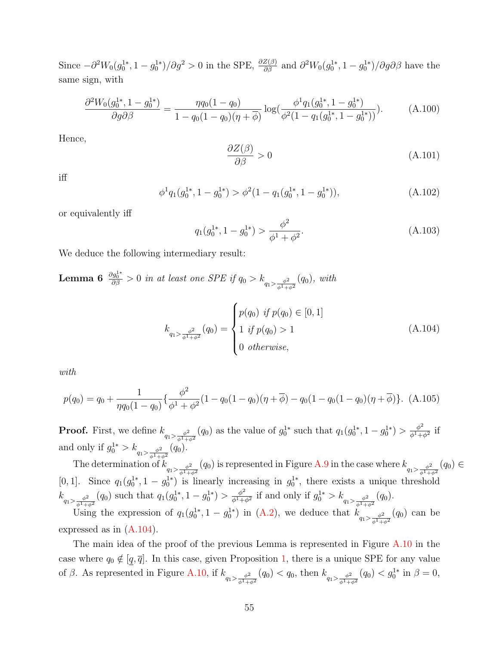Since  $-\partial^2 W_0(g_0^{1*}, 1-g_0^{1*})/\partial g^2 > 0$  in the SPE,  $\frac{\partial Z(\beta)}{\partial \beta}$  and  $\partial^2 W_0(g_0^{1*}, 1-g_0^{1*})/\partial g\partial \beta$  have the same sign, with

$$
\frac{\partial^2 W_0(g_0^{1*}, 1 - g_0^{1*})}{\partial g \partial \beta} = \frac{\eta q_0 (1 - q_0)}{1 - q_0 (1 - q_0)(\eta + \overline{\phi})} \log(\frac{\phi^1 q_1(g_0^{1*}, 1 - g_0^{1*})}{\phi^2 (1 - q_1(g_0^{1*}, 1 - g_0^{1*}))}).
$$
\n(A.100)

Hence,

$$
\frac{\partial Z(\beta)}{\partial \beta} > 0 \tag{A.101}
$$

iff

$$
\phi^1 q_1(g_0^{1*}, 1 - g_0^{1*}) > \phi^2 (1 - q_1(g_0^{1*}, 1 - g_0^{1*})), \tag{A.102}
$$

or equivalently iff

$$
q_1(g_0^{1*}, 1 - g_0^{1*}) > \frac{\phi^2}{\phi^1 + \phi^2}.
$$
\n(A.103)

We deduce the following intermediary result:

**Lemma 6**  $\frac{\partial g_0^{1*}}{\partial \beta} > 0$  in at least one SPE if  $q_0 > k_{q_1 > \frac{\phi^2}{\phi^1 + \phi^2}}(q_0)$ , with

$$
k_{q_1 > \frac{\phi^2}{\phi^1 + \phi^2}}(q_0) = \begin{cases} p(q_0) & \text{if } p(q_0) \in [0, 1] \\ 1 & \text{if } p(q_0) > 1 \\ 0 & \text{otherwise,} \end{cases}
$$
(A.104)

with

$$
p(q_0) = q_0 + \frac{1}{\eta q_0 (1 - q_0)} \left\{ \frac{\phi^2}{\phi^1 + \phi^2} (1 - q_0 (1 - q_0)(\eta + \overline{\phi}) - q_0 (1 - q_0)(1 - q_0)(\eta + \overline{\phi}) \right\}.
$$
 (A.105)

**Proof.** First, we define  $k_{q_1 > \frac{\phi^2}{\phi^1 + \phi^2}}(q_0)$  as the value of  $g_0^{1*}$  such that  $q_1(g_0^{1*}, 1 - g_0^{1*}) > \frac{\phi^2}{\phi^1 + \phi^2}$  $\frac{\phi^2}{\phi^1+\phi^2}$  if and only if  $g_0^{1*} > k_{q_1 > \frac{\phi^2}{\phi^1 + \phi^2}}(q_0)$ .

The determination of  $k_{q_1>\frac{\phi^2}{\phi^1+\phi^2}}(q_0)$  is represented in Figure A.9 in the case where  $k_{q_1>\frac{\phi^2}{\phi^1+\phi^2}}(q_0)\in$ [0, 1]. Since  $q_1(g_0^{1*}, 1-g_0^{1*})$  is linearly increasing in  $g_0^{1*}$ , there exists a unique threshold  $k_{q_1>\frac{\phi^2}{\phi^1+\phi^2}}(q_0)$  such that  $q_1(g_0^{1*}, 1-g_0^{1*})>\frac{\phi^2}{\phi^1+\phi^2}$  $\frac{\phi^2}{\phi^1 + \phi^2}$  if and only if  $g_0^{1*} > k_{q_1 > \frac{\phi^2}{\phi^1 + \phi^2}}(q_0)$ .

Using the expression of  $q_1(g_0^{1*}, 1-g_0^{1*})$  in (A.2), we deduce that  $k_{q_1>\frac{\phi^2}{\phi^1+\phi^2}}(q_0)$  can be expressed as in (A.104).

The main idea of the proof of the previous Lemma is represented in Figure A.10 in the case where  $q_0 \notin [\underline{q}, \overline{q}]$ . In this case, given Proposition 1, there is a unique SPE for any value of  $\beta$ . As represented in Figure A.10, if  $k_{q_1>\frac{\phi^2}{\phi^1+\phi^2}}(q_0) < q_0$ , then  $k_{q_1>\frac{\phi^2}{\phi^1+\phi^2}}(q_0) < g_0^{1*}$  in  $\beta = 0$ ,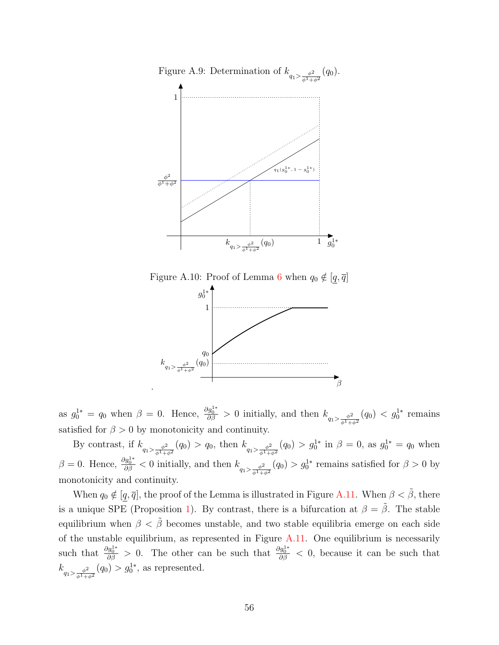





as  $g_0^{1*} = q_0$  when  $\beta = 0$ . Hence,  $\frac{\partial g_0^{1*}}{\partial \beta} > 0$  initially, and then  $k_{q_1 > \frac{\phi^2}{\phi^1 + \phi^2}}(q_0) < g_0^{1*}$  remains satisfied for  $\beta > 0$  by monotonicity and continuity.

.

By contrast, if  $k_{q_1>\frac{\phi^2}{\phi^1+\phi^2}}(q_0) > q_0$ , then  $k_{q_1>\frac{\phi^2}{\phi^1+\phi^2}}(q_0) > q_0^{1*}$  in  $\beta = 0$ , as  $g_0^{1*} = q_0$  when  $\beta = 0$ . Hence,  $\frac{\partial g_0^{1*}}{\partial \beta} < 0$  initially, and then  $k_{q_1 > \frac{\phi^2}{\phi^1 + \phi^2}}(q_0) > g_0^{1*}$  remains satisfied for  $\beta > 0$  by monotonicity and continuity.

When  $q_0 \notin [q, \overline{q}]$ , the proof of the Lemma is illustrated in Figure A.11. When  $\beta < \tilde{\beta}$ , there is a unique SPE (Proposition 1). By contrast, there is a bifurcation at  $\beta = \tilde{\beta}$ . The stable equilibrium when  $\beta < \tilde{\beta}$  becomes unstable, and two stable equilibria emerge on each side of the unstable equilibrium, as represented in Figure  $A.11$ . One equilibrium is necessarily such that  $\frac{\partial g_0^{1*}}{\partial \beta} > 0$ . The other can be such that  $\frac{\partial g_0^{1*}}{\partial \beta} < 0$ , because it can be such that  $k_{q_1 > \frac{\phi^2}{\phi^1 + \phi^2}}(q_0) > g_0^{1*}$ , as represented.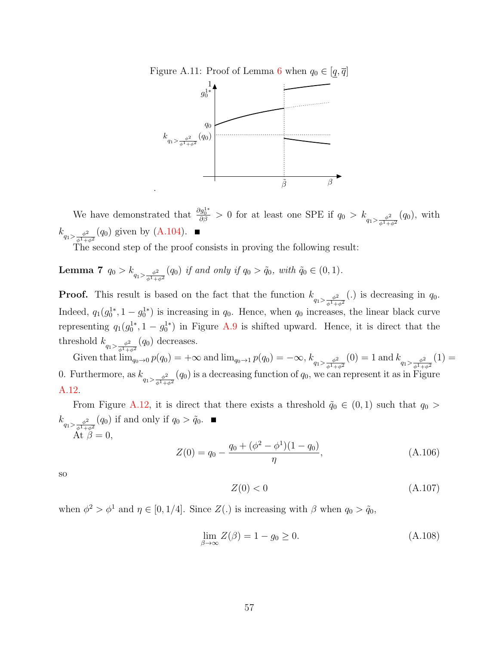



We have demonstrated that  $\frac{\partial g_0^{1*}}{\partial \beta} > 0$  for at least one SPE if  $q_0 > k_{q_1 > \frac{\phi^2}{\phi^1 + \phi^2}}(q_0)$ , with  $k_{q_1>\frac{\phi^2}{\phi^1+\phi^2}}(q_0)$  given by  $(A.104)$ .

The second step of the proof consists in proving the following result:

**Lemma 7**  $q_0 > k_{q_1 > \frac{\phi^2}{\phi^1 + \phi^2}}(q_0)$  if and only if  $q_0 > \tilde{q}_0$ , with  $\tilde{q}_0 \in (0, 1)$ .

.

**Proof.** This result is based on the fact that the function  $k_{q_1 > \frac{\phi^2}{\phi^1 + \phi^2}}(.)$  is decreasing in  $q_0$ . Indeed,  $q_1(g_0^{1*}, 1-g_0^{1*})$  is increasing in  $q_0$ . Hence, when  $q_0$  increases, the linear black curve representing  $q_1(g_0^{1*}, 1-g_0^{1*})$  in Figure A.9 is shifted upward. Hence, it is direct that the threshold  $k_{q_1>\frac{\phi^2}{\phi^1+\phi^2}}(q_0)$  decreases.

Given that  $\lim_{q_0 \to 0} p(q_0) = +\infty$  and  $\lim_{q_0 \to 1} p(q_0) = -\infty$ ,  $k_{q_1 > \frac{\phi^2}{\phi^1 + \phi^2}}(0) = 1$  and  $k_{q_1 > \frac{\phi^2}{\phi^1 + \phi^2}}(1) =$ 0. Furthermore, as  $k_{q_1>\frac{\phi^2}{\phi^1+\phi^2}}(q_0)$  is a decreasing function of  $q_0$ , we can represent it as in Figure A.12.

From Figure A.12, it is direct that there exists a threshold  $\tilde{q}_0 \in (0,1)$  such that  $q_0 >$  $k_{q_1>\frac{\phi^2}{\phi^1+\phi^2}}(q_0)$  if and only if  $q_0>\tilde{q}_0$ . At  $\beta = 0$ ,

$$
Z(0) = q_0 - \frac{q_0 + (\phi^2 - \phi^1)(1 - q_0)}{\eta}, \qquad (A.106)
$$

so

$$
Z(0) < 0 \tag{A.107}
$$

when  $\phi^2 > \phi^1$  and  $\eta \in [0, 1/4]$ . Since  $Z(.)$  is increasing with  $\beta$  when  $q_0 > \tilde{q}_0$ ,

$$
\lim_{\beta \to \infty} Z(\beta) = 1 - g_0 \ge 0. \tag{A.108}
$$